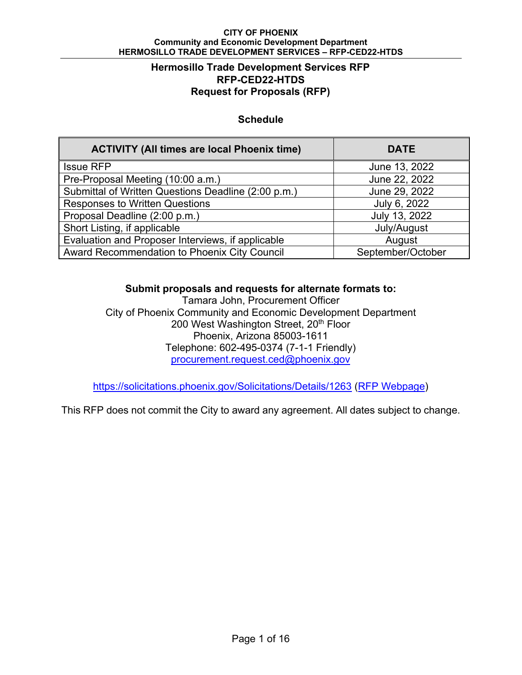### **Hermosillo Trade Development Services RFP RFP-CED22-HTDS Request for Proposals (RFP)**

## **Schedule**

| <b>ACTIVITY (All times are local Phoenix time)</b>  | <b>DATE</b>       |
|-----------------------------------------------------|-------------------|
| <b>Issue RFP</b>                                    | June 13, 2022     |
| Pre-Proposal Meeting (10:00 a.m.)                   | June 22, 2022     |
| Submittal of Written Questions Deadline (2:00 p.m.) | June 29, 2022     |
| <b>Responses to Written Questions</b>               | July 6, 2022      |
| Proposal Deadline (2:00 p.m.)                       | July 13, 2022     |
| Short Listing, if applicable                        | July/August       |
| Evaluation and Proposer Interviews, if applicable   | August            |
| Award Recommendation to Phoenix City Council        | September/October |

**Submit proposals and requests for alternate formats to:** 

Tamara John, Procurement Officer City of Phoenix Community and Economic Development Department 200 West Washington Street, 20<sup>th</sup> Floor Phoenix, Arizona 85003-1611 Telephone: 602-495-0374 (7-1-1 Friendly) procurement.request.ced@phoenix.gov

https://solicitations.phoenix.gov/Solicitations/Details/1263 (RFP Webpage)

This RFP does not commit the City to award any agreement. All dates subject to change.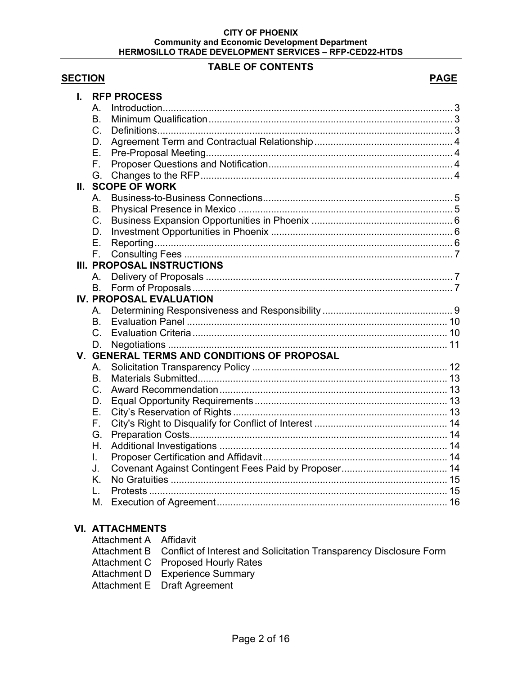### **TABLE OF CONTENTS**

## **SECTION** PAGE

| I. |                | <b>RFP PROCESS</b>                          |  |
|----|----------------|---------------------------------------------|--|
|    | A.             |                                             |  |
|    | B <sub>1</sub> |                                             |  |
|    | $C_{1}$        |                                             |  |
|    | D.             |                                             |  |
|    | Ε.             |                                             |  |
|    | F.             |                                             |  |
|    | G.             |                                             |  |
|    |                | II. SCOPE OF WORK                           |  |
|    | Α.             |                                             |  |
|    | <b>B.</b>      |                                             |  |
|    | C.             |                                             |  |
|    | D.             |                                             |  |
|    | Ε.             |                                             |  |
|    | $F_{\odot}$    |                                             |  |
|    |                | <b>III. PROPOSAL INSTRUCTIONS</b>           |  |
|    | A.             |                                             |  |
|    | <b>B.</b>      |                                             |  |
|    |                | <b>IV. PROPOSAL EVALUATION</b>              |  |
|    | Α.             |                                             |  |
|    | B <sub>1</sub> |                                             |  |
|    | $C_{1}$        |                                             |  |
|    | D.             |                                             |  |
|    |                | V. GENERAL TERMS AND CONDITIONS OF PROPOSAL |  |
|    | А.             |                                             |  |
|    | <b>B.</b>      |                                             |  |
|    | $C_{\cdot}$    |                                             |  |
|    | D.             |                                             |  |
|    | Ε.             |                                             |  |
|    | F.             |                                             |  |
|    | G.             |                                             |  |
|    | Η.             |                                             |  |
|    | L.             |                                             |  |
|    | J.             |                                             |  |
|    | K.             |                                             |  |
|    | L.             |                                             |  |
|    | М.             |                                             |  |
|    |                |                                             |  |

## **VI. ATTACHMENTS**

| Attachment A Affidavit |                                                                                 |
|------------------------|---------------------------------------------------------------------------------|
|                        | Attachment B Conflict of Interest and Solicitation Transparency Disclosure Form |
|                        | Attachment C Proposed Hourly Rates                                              |
|                        | Attachment D Experience Summary                                                 |
|                        | Attachment E Draft Agreement                                                    |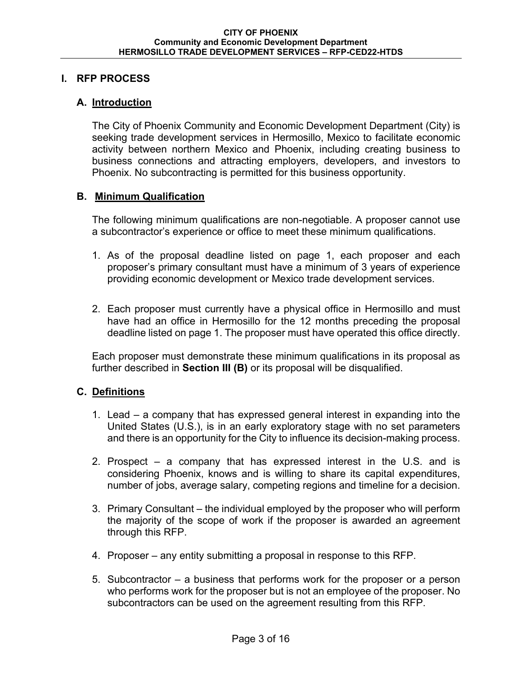### **I. RFP PROCESS**

### **A. Introduction**

The City of Phoenix Community and Economic Development Department (City) is seeking trade development services in Hermosillo, Mexico to facilitate economic activity between northern Mexico and Phoenix, including creating business to business connections and attracting employers, developers, and investors to Phoenix. No subcontracting is permitted for this business opportunity.

### **B. Minimum Qualification**

The following minimum qualifications are non-negotiable. A proposer cannot use a subcontractor's experience or office to meet these minimum qualifications.

- 1. As of the proposal deadline listed on page 1, each proposer and each proposer's primary consultant must have a minimum of 3 years of experience providing economic development or Mexico trade development services.
- 2. Each proposer must currently have a physical office in Hermosillo and must have had an office in Hermosillo for the 12 months preceding the proposal deadline listed on page 1. The proposer must have operated this office directly.

Each proposer must demonstrate these minimum qualifications in its proposal as further described in **Section III (B)** or its proposal will be disqualified.

## **C. Definitions**

- 1. Lead a company that has expressed general interest in expanding into the United States (U.S.), is in an early exploratory stage with no set parameters and there is an opportunity for the City to influence its decision-making process.
- 2. Prospect a company that has expressed interest in the U.S. and is considering Phoenix, knows and is willing to share its capital expenditures, number of jobs, average salary, competing regions and timeline for a decision.
- 3. Primary Consultant the individual employed by the proposer who will perform the majority of the scope of work if the proposer is awarded an agreement through this RFP.
- 4. Proposer any entity submitting a proposal in response to this RFP.
- 5. Subcontractor a business that performs work for the proposer or a person who performs work for the proposer but is not an employee of the proposer. No subcontractors can be used on the agreement resulting from this RFP.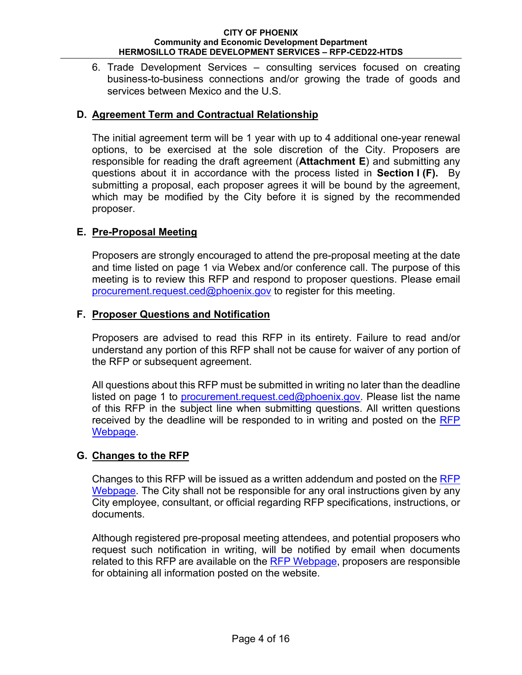6. Trade Development Services – consulting services focused on creating business-to-business connections and/or growing the trade of goods and services between Mexico and the U.S.

## **D. Agreement Term and Contractual Relationship**

The initial agreement term will be 1 year with up to 4 additional one-year renewal options, to be exercised at the sole discretion of the City. Proposers are responsible for reading the draft agreement (**Attachment E**) and submitting any questions about it in accordance with the process listed in **Section I (F).** By submitting a proposal, each proposer agrees it will be bound by the agreement, which may be modified by the City before it is signed by the recommended proposer.

## **E. Pre-Proposal Meeting**

Proposers are strongly encouraged to attend the pre-proposal meeting at the date and time listed on page 1 via Webex and/or conference call. The purpose of this meeting is to review this RFP and respond to proposer questions. Please email procurement.request.ced@phoenix.gov to register for this meeting.

## **F. Proposer Questions and Notification**

Proposers are advised to read this RFP in its entirety. Failure to read and/or understand any portion of this RFP shall not be cause for waiver of any portion of the RFP or subsequent agreement.

All questions about this RFP must be submitted in writing no later than the deadline listed on page 1 to procurement.request.ced@phoenix.gov. Please list the name of this RFP in the subject line when submitting questions. All written questions received by the deadline will be responded to in writing and posted on the RFP **Webpage** 

## **G. Changes to the RFP**

Changes to this RFP will be issued as a written addendum and posted on the RFP Webpage. The City shall not be responsible for any oral instructions given by any City employee, consultant, or official regarding RFP specifications, instructions, or documents.

Although registered pre-proposal meeting attendees, and potential proposers who request such notification in writing, will be notified by email when documents related to this RFP are available on the RFP Webpage, proposers are responsible for obtaining all information posted on the website.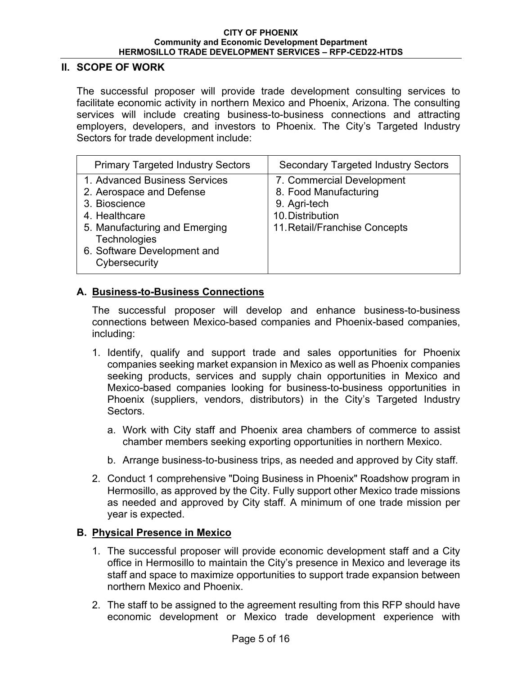### **II. SCOPE OF WORK**

The successful proposer will provide trade development consulting services to facilitate economic activity in northern Mexico and Phoenix, Arizona. The consulting services will include creating business-to-business connections and attracting employers, developers, and investors to Phoenix. The City's Targeted Industry Sectors for trade development include:

| <b>Primary Targeted Industry Sectors</b>                                                                                                                                                     | <b>Secondary Targeted Industry Sectors</b>                                                                              |
|----------------------------------------------------------------------------------------------------------------------------------------------------------------------------------------------|-------------------------------------------------------------------------------------------------------------------------|
| 1. Advanced Business Services<br>2. Aerospace and Defense<br>3. Bioscience<br>4. Healthcare<br>5. Manufacturing and Emerging<br>Technologies<br>6. Software Development and<br>Cybersecurity | 7. Commercial Development<br>8. Food Manufacturing<br>9. Agri-tech<br>10. Distribution<br>11. Retail/Franchise Concepts |

## **A. Business-to-Business Connections**

The successful proposer will develop and enhance business-to-business connections between Mexico-based companies and Phoenix-based companies, including:

- 1. Identify, qualify and support trade and sales opportunities for Phoenix companies seeking market expansion in Mexico as well as Phoenix companies seeking products, services and supply chain opportunities in Mexico and Mexico-based companies looking for business-to-business opportunities in Phoenix (suppliers, vendors, distributors) in the City's Targeted Industry Sectors.
	- a. Work with City staff and Phoenix area chambers of commerce to assist chamber members seeking exporting opportunities in northern Mexico.
	- b. Arrange business-to-business trips, as needed and approved by City staff.
- 2. Conduct 1 comprehensive "Doing Business in Phoenix" Roadshow program in Hermosillo, as approved by the City. Fully support other Mexico trade missions as needed and approved by City staff. A minimum of one trade mission per year is expected.

## **B. Physical Presence in Mexico**

- 1. The successful proposer will provide economic development staff and a City office in Hermosillo to maintain the City's presence in Mexico and leverage its staff and space to maximize opportunities to support trade expansion between northern Mexico and Phoenix.
- 2. The staff to be assigned to the agreement resulting from this RFP should have economic development or Mexico trade development experience with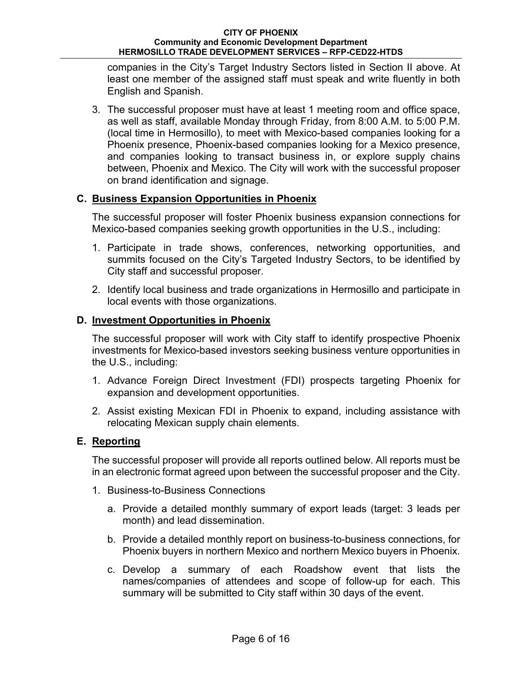companies in the City's Target Industry Sectors listed in Section II above. At least one member of the assigned staff must speak and write fluently in both English and Spanish.

3. The successful proposer must have at least 1 meeting room and office space, as well as staff, available Monday through Friday, from 8:00 A.M. to 5:00 P.M. (local time in Hermosillo), to meet with Mexico-based companies looking for a Phoenix presence, Phoenix-based companies looking for a Mexico presence, and companies looking to transact business in, or explore supply chains between, Phoenix and Mexico. The City will work with the successful proposer on brand identification and signage.

## **C. Business Expansion Opportunities in Phoenix**

The successful proposer will foster Phoenix business expansion connections for Mexico-based companies seeking growth opportunities in the U.S., including:

- 1. Participate in trade shows, conferences, networking opportunities, and summits focused on the City's Targeted Industry Sectors, to be identified by City staff and successful proposer.
- 2. Identify local business and trade organizations in Hermosillo and participate in local events with those organizations.

## **D. Investment Opportunities in Phoenix**

The successful proposer will work with City staff to identify prospective Phoenix investments for Mexico-based investors seeking business venture opportunities in the U.S., including:

- 1. Advance Foreign Direct Investment (FDI) prospects targeting Phoenix for expansion and development opportunities.
- 2. Assist existing Mexican FDI in Phoenix to expand, including assistance with relocating Mexican supply chain elements.

## **E. Reporting**

The successful proposer will provide all reports outlined below. All reports must be in an electronic format agreed upon between the successful proposer and the City.

- 1. Business-to-Business Connections
	- a. Provide a detailed monthly summary of export leads (target: 3 leads per month) and lead dissemination.
	- b. Provide a detailed monthly report on business-to-business connections, for Phoenix buyers in northern Mexico and northern Mexico buyers in Phoenix.
	- c. Develop a summary of each Roadshow event that lists the names/companies of attendees and scope of follow-up for each. This summary will be submitted to City staff within 30 days of the event.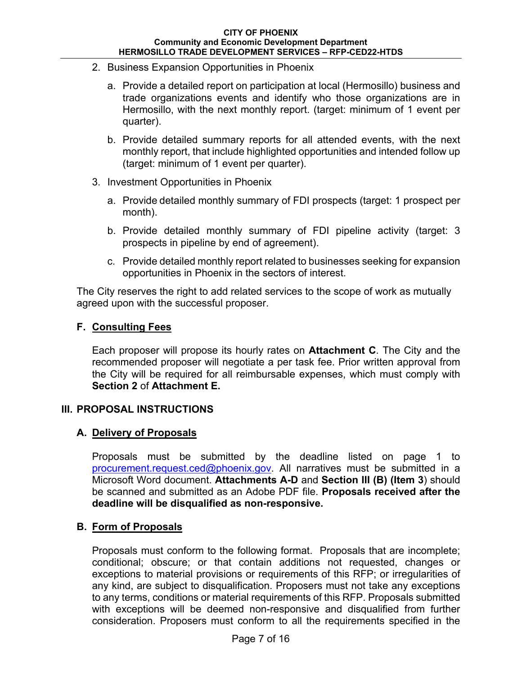- 2. Business Expansion Opportunities in Phoenix
	- a. Provide a detailed report on participation at local (Hermosillo) business and trade organizations events and identify who those organizations are in Hermosillo, with the next monthly report. (target: minimum of 1 event per quarter).
	- b. Provide detailed summary reports for all attended events, with the next monthly report, that include highlighted opportunities and intended follow up (target: minimum of 1 event per quarter).
- 3. Investment Opportunities in Phoenix
	- a. Provide detailed monthly summary of FDI prospects (target: 1 prospect per month).
	- b. Provide detailed monthly summary of FDI pipeline activity (target: 3 prospects in pipeline by end of agreement).
	- c. Provide detailed monthly report related to businesses seeking for expansion opportunities in Phoenix in the sectors of interest.

The City reserves the right to add related services to the scope of work as mutually agreed upon with the successful proposer.

## **F. Consulting Fees**

Each proposer will propose its hourly rates on **Attachment C**. The City and the recommended proposer will negotiate a per task fee. Prior written approval from the City will be required for all reimbursable expenses, which must comply with **Section 2** of **Attachment E.**

## **III. PROPOSAL INSTRUCTIONS**

## **A. Delivery of Proposals**

Proposals must be submitted by the deadline listed on page 1 to procurement.request.ced@phoenix.gov. All narratives must be submitted in a Microsoft Word document. **Attachments A-D** and **Section III (B) (Item 3**) should be scanned and submitted as an Adobe PDF file. **Proposals received after the deadline will be disqualified as non-responsive.** 

## **B. Form of Proposals**

Proposals must conform to the following format. Proposals that are incomplete; conditional; obscure; or that contain additions not requested, changes or exceptions to material provisions or requirements of this RFP; or irregularities of any kind, are subject to disqualification. Proposers must not take any exceptions to any terms, conditions or material requirements of this RFP. Proposals submitted with exceptions will be deemed non-responsive and disqualified from further consideration. Proposers must conform to all the requirements specified in the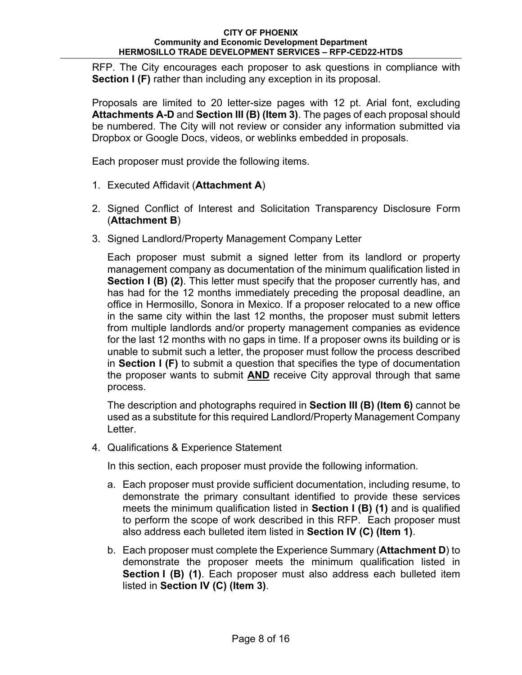RFP. The City encourages each proposer to ask questions in compliance with **Section I (F)** rather than including any exception in its proposal.

Proposals are limited to 20 letter-size pages with 12 pt. Arial font, excluding **Attachments A-D** and **Section III (B) (Item 3)**. The pages of each proposal should be numbered. The City will not review or consider any information submitted via Dropbox or Google Docs, videos, or weblinks embedded in proposals.

Each proposer must provide the following items.

- 1. Executed Affidavit (**Attachment A**)
- 2. Signed Conflict of Interest and Solicitation Transparency Disclosure Form (**Attachment B**)
- 3. Signed Landlord/Property Management Company Letter

Each proposer must submit a signed letter from its landlord or property management company as documentation of the minimum qualification listed in **Section I (B) (2)**. This letter must specify that the proposer currently has, and has had for the 12 months immediately preceding the proposal deadline, an office in Hermosillo, Sonora in Mexico. If a proposer relocated to a new office in the same city within the last 12 months, the proposer must submit letters from multiple landlords and/or property management companies as evidence for the last 12 months with no gaps in time. If a proposer owns its building or is unable to submit such a letter, the proposer must follow the process described in **Section I (F)** to submit a question that specifies the type of documentation the proposer wants to submit **AND** receive City approval through that same process.

The description and photographs required in **Section III (B) (Item 6)** cannot be used as a substitute for this required Landlord/Property Management Company Letter.

4. Qualifications & Experience Statement

In this section, each proposer must provide the following information.

- a. Each proposer must provide sufficient documentation, including resume, to demonstrate the primary consultant identified to provide these services meets the minimum qualification listed in **Section I (B) (1)** and is qualified to perform the scope of work described in this RFP. Each proposer must also address each bulleted item listed in **Section IV (C) (Item 1)**.
- b. Each proposer must complete the Experience Summary (**Attachment D**) to demonstrate the proposer meets the minimum qualification listed in **Section I (B) (1)**. Each proposer must also address each bulleted item listed in **Section IV (C) (Item 3)**.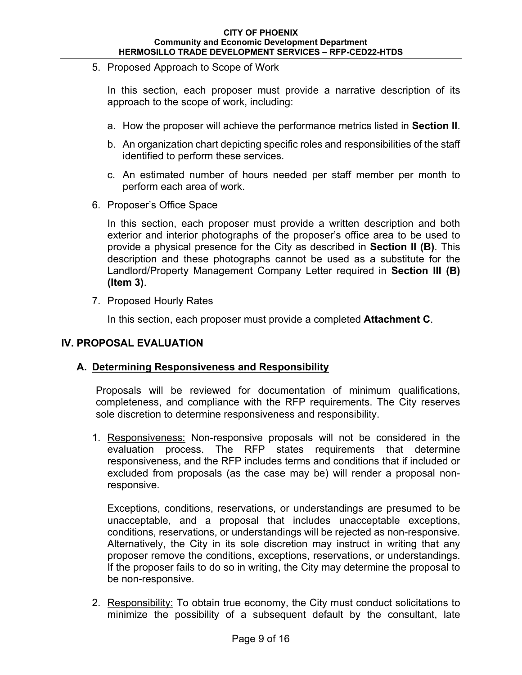5. Proposed Approach to Scope of Work

In this section, each proposer must provide a narrative description of its approach to the scope of work, including:

- a. How the proposer will achieve the performance metrics listed in **Section II**.
- b. An organization chart depicting specific roles and responsibilities of the staff identified to perform these services.
- c. An estimated number of hours needed per staff member per month to perform each area of work.
- 6. Proposer's Office Space

In this section, each proposer must provide a written description and both exterior and interior photographs of the proposer's office area to be used to provide a physical presence for the City as described in **Section II (B)**. This description and these photographs cannot be used as a substitute for the Landlord/Property Management Company Letter required in **Section III (B) (Item 3)**.

7. Proposed Hourly Rates

In this section, each proposer must provide a completed **Attachment C**.

## **IV. PROPOSAL EVALUATION**

## **A. Determining Responsiveness and Responsibility**

Proposals will be reviewed for documentation of minimum qualifications, completeness, and compliance with the RFP requirements. The City reserves sole discretion to determine responsiveness and responsibility.

1. Responsiveness: Non-responsive proposals will not be considered in the evaluation process. The RFP states requirements that determine responsiveness, and the RFP includes terms and conditions that if included or excluded from proposals (as the case may be) will render a proposal nonresponsive.

Exceptions, conditions, reservations, or understandings are presumed to be unacceptable, and a proposal that includes unacceptable exceptions, conditions, reservations, or understandings will be rejected as non-responsive. Alternatively, the City in its sole discretion may instruct in writing that any proposer remove the conditions, exceptions, reservations, or understandings. If the proposer fails to do so in writing, the City may determine the proposal to be non-responsive.

2. Responsibility: To obtain true economy, the City must conduct solicitations to minimize the possibility of a subsequent default by the consultant, late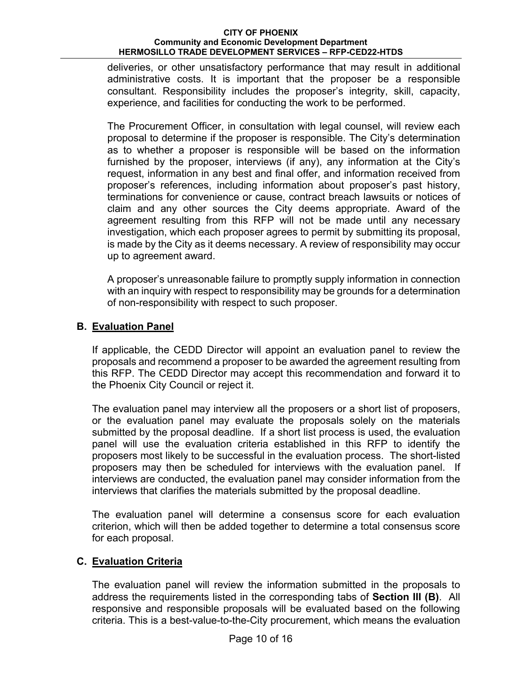deliveries, or other unsatisfactory performance that may result in additional administrative costs. It is important that the proposer be a responsible consultant. Responsibility includes the proposer's integrity, skill, capacity, experience, and facilities for conducting the work to be performed.

The Procurement Officer, in consultation with legal counsel, will review each proposal to determine if the proposer is responsible. The City's determination as to whether a proposer is responsible will be based on the information furnished by the proposer, interviews (if any), any information at the City's request, information in any best and final offer, and information received from proposer's references, including information about proposer's past history, terminations for convenience or cause, contract breach lawsuits or notices of claim and any other sources the City deems appropriate. Award of the agreement resulting from this RFP will not be made until any necessary investigation, which each proposer agrees to permit by submitting its proposal, is made by the City as it deems necessary. A review of responsibility may occur up to agreement award.

A proposer's unreasonable failure to promptly supply information in connection with an inquiry with respect to responsibility may be grounds for a determination of non-responsibility with respect to such proposer.

## **B. Evaluation Panel**

If applicable, the CEDD Director will appoint an evaluation panel to review the proposals and recommend a proposer to be awarded the agreement resulting from this RFP. The CEDD Director may accept this recommendation and forward it to the Phoenix City Council or reject it.

The evaluation panel may interview all the proposers or a short list of proposers, or the evaluation panel may evaluate the proposals solely on the materials submitted by the proposal deadline. If a short list process is used, the evaluation panel will use the evaluation criteria established in this RFP to identify the proposers most likely to be successful in the evaluation process. The short-listed proposers may then be scheduled for interviews with the evaluation panel. If interviews are conducted, the evaluation panel may consider information from the interviews that clarifies the materials submitted by the proposal deadline.

The evaluation panel will determine a consensus score for each evaluation criterion, which will then be added together to determine a total consensus score for each proposal.

## **C. Evaluation Criteria**

The evaluation panel will review the information submitted in the proposals to address the requirements listed in the corresponding tabs of **Section III (B)**. All responsive and responsible proposals will be evaluated based on the following criteria. This is a best-value-to-the-City procurement, which means the evaluation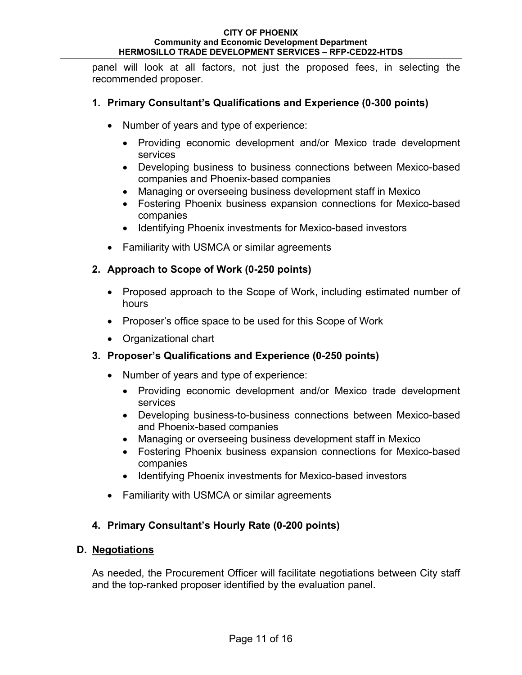panel will look at all factors, not just the proposed fees, in selecting the recommended proposer.

## **1. Primary Consultant's Qualifications and Experience (0-300 points)**

- Number of years and type of experience:
	- Providing economic development and/or Mexico trade development services
	- Developing business to business connections between Mexico-based companies and Phoenix-based companies
	- Managing or overseeing business development staff in Mexico
	- Fostering Phoenix business expansion connections for Mexico-based companies
	- Identifying Phoenix investments for Mexico-based investors
- Familiarity with USMCA or similar agreements

## **2. Approach to Scope of Work (0-250 points)**

- Proposed approach to the Scope of Work, including estimated number of hours
- Proposer's office space to be used for this Scope of Work
- Organizational chart

## **3. Proposer's Qualifications and Experience (0-250 points)**

- Number of years and type of experience:
	- Providing economic development and/or Mexico trade development services
	- Developing business-to-business connections between Mexico-based and Phoenix-based companies
	- Managing or overseeing business development staff in Mexico
	- Fostering Phoenix business expansion connections for Mexico-based companies
	- Identifying Phoenix investments for Mexico-based investors
- Familiarity with USMCA or similar agreements

## **4. Primary Consultant's Hourly Rate (0-200 points)**

## **D. Negotiations**

As needed, the Procurement Officer will facilitate negotiations between City staff and the top-ranked proposer identified by the evaluation panel.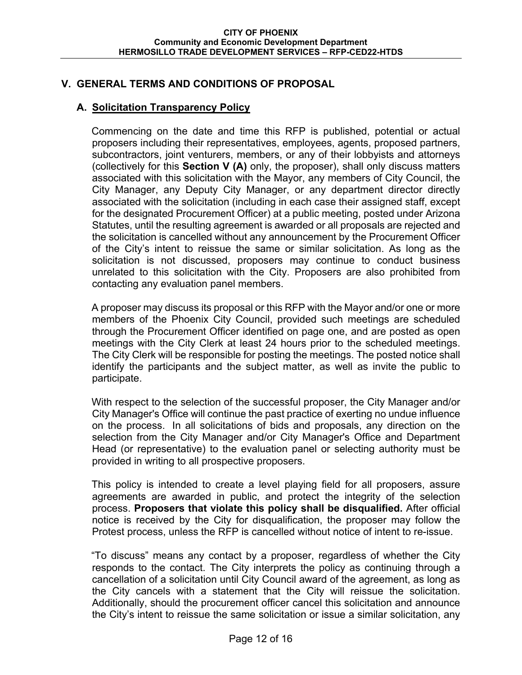## **V. GENERAL TERMS AND CONDITIONS OF PROPOSAL**

## **A. Solicitation Transparency Policy**

Commencing on the date and time this RFP is published, potential or actual proposers including their representatives, employees, agents, proposed partners, subcontractors, joint venturers, members, or any of their lobbyists and attorneys (collectively for this **Section V (A)** only, the proposer), shall only discuss matters associated with this solicitation with the Mayor, any members of City Council, the City Manager, any Deputy City Manager, or any department director directly associated with the solicitation (including in each case their assigned staff, except for the designated Procurement Officer) at a public meeting, posted under Arizona Statutes, until the resulting agreement is awarded or all proposals are rejected and the solicitation is cancelled without any announcement by the Procurement Officer of the City's intent to reissue the same or similar solicitation. As long as the solicitation is not discussed, proposers may continue to conduct business unrelated to this solicitation with the City. Proposers are also prohibited from contacting any evaluation panel members.

A proposer may discuss its proposal or this RFP with the Mayor and/or one or more members of the Phoenix City Council, provided such meetings are scheduled through the Procurement Officer identified on page one, and are posted as open meetings with the City Clerk at least 24 hours prior to the scheduled meetings. The City Clerk will be responsible for posting the meetings. The posted notice shall identify the participants and the subject matter, as well as invite the public to participate.

With respect to the selection of the successful proposer, the City Manager and/or City Manager's Office will continue the past practice of exerting no undue influence on the process. In all solicitations of bids and proposals, any direction on the selection from the City Manager and/or City Manager's Office and Department Head (or representative) to the evaluation panel or selecting authority must be provided in writing to all prospective proposers.

This policy is intended to create a level playing field for all proposers, assure agreements are awarded in public, and protect the integrity of the selection process. **Proposers that violate this policy shall be disqualified.** After official notice is received by the City for disqualification, the proposer may follow the Protest process, unless the RFP is cancelled without notice of intent to re-issue.

"To discuss" means any contact by a proposer, regardless of whether the City responds to the contact. The City interprets the policy as continuing through a cancellation of a solicitation until City Council award of the agreement, as long as the City cancels with a statement that the City will reissue the solicitation. Additionally, should the procurement officer cancel this solicitation and announce the City's intent to reissue the same solicitation or issue a similar solicitation, any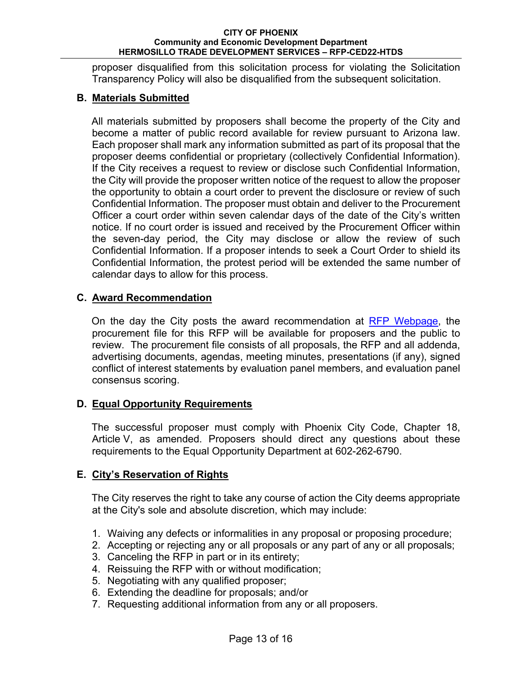proposer disqualified from this solicitation process for violating the Solicitation Transparency Policy will also be disqualified from the subsequent solicitation.

## **B. Materials Submitted**

All materials submitted by proposers shall become the property of the City and become a matter of public record available for review pursuant to Arizona law. Each proposer shall mark any information submitted as part of its proposal that the proposer deems confidential or proprietary (collectively Confidential Information). If the City receives a request to review or disclose such Confidential Information, the City will provide the proposer written notice of the request to allow the proposer the opportunity to obtain a court order to prevent the disclosure or review of such Confidential Information. The proposer must obtain and deliver to the Procurement Officer a court order within seven calendar days of the date of the City's written notice. If no court order is issued and received by the Procurement Officer within the seven-day period, the City may disclose or allow the review of such Confidential Information. If a proposer intends to seek a Court Order to shield its Confidential Information, the protest period will be extended the same number of calendar days to allow for this process.

## **C. Award Recommendation**

On the day the City posts the award recommendation at RFP Webpage, the procurement file for this RFP will be available for proposers and the public to review. The procurement file consists of all proposals, the RFP and all addenda, advertising documents, agendas, meeting minutes, presentations (if any), signed conflict of interest statements by evaluation panel members, and evaluation panel consensus scoring.

## **D. Equal Opportunity Requirements**

The successful proposer must comply with Phoenix City Code, Chapter 18, Article V, as amended. Proposers should direct any questions about these requirements to the Equal Opportunity Department at 602-262-6790.

## **E. City's Reservation of Rights**

The City reserves the right to take any course of action the City deems appropriate at the City's sole and absolute discretion, which may include:

- 1. Waiving any defects or informalities in any proposal or proposing procedure;
- 2. Accepting or rejecting any or all proposals or any part of any or all proposals;
- 3. Canceling the RFP in part or in its entirety;
- 4. Reissuing the RFP with or without modification;
- 5. Negotiating with any qualified proposer;
- 6. Extending the deadline for proposals; and/or
- 7. Requesting additional information from any or all proposers.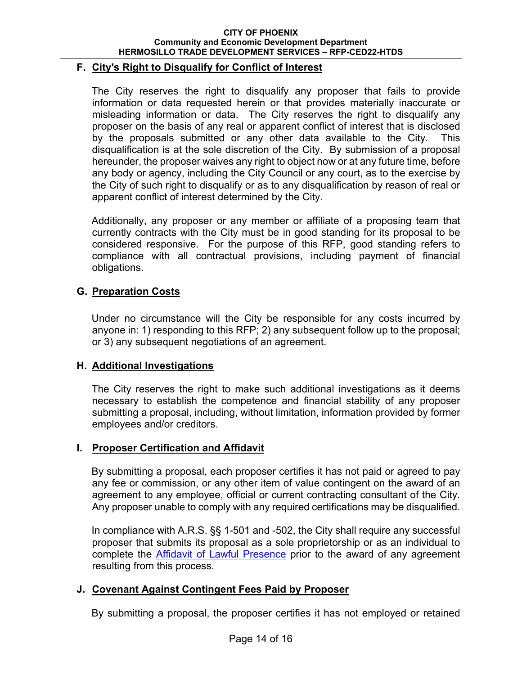### **F. City's Right to Disqualify for Conflict of Interest**

The City reserves the right to disqualify any proposer that fails to provide information or data requested herein or that provides materially inaccurate or misleading information or data. The City reserves the right to disqualify any proposer on the basis of any real or apparent conflict of interest that is disclosed by the proposals submitted or any other data available to the City. This disqualification is at the sole discretion of the City. By submission of a proposal hereunder, the proposer waives any right to object now or at any future time, before any body or agency, including the City Council or any court, as to the exercise by the City of such right to disqualify or as to any disqualification by reason of real or apparent conflict of interest determined by the City.

Additionally, any proposer or any member or affiliate of a proposing team that currently contracts with the City must be in good standing for its proposal to be considered responsive. For the purpose of this RFP, good standing refers to compliance with all contractual provisions, including payment of financial obligations.

## **G. Preparation Costs**

Under no circumstance will the City be responsible for any costs incurred by anyone in: 1) responding to this RFP; 2) any subsequent follow up to the proposal; or 3) any subsequent negotiations of an agreement.

## **H. Additional Investigations**

The City reserves the right to make such additional investigations as it deems necessary to establish the competence and financial stability of any proposer submitting a proposal, including, without limitation, information provided by former employees and/or creditors.

### **I. Proposer Certification and Affidavit**

By submitting a proposal, each proposer certifies it has not paid or agreed to pay any fee or commission, or any other item of value contingent on the award of an agreement to any employee, official or current contracting consultant of the City. Any proposer unable to comply with any required certifications may be disqualified.

In compliance with A.R.S. §§ 1-501 and -502, the City shall require any successful proposer that submits its proposal as a sole proprietorship or as an individual to complete the Affidavit of Lawful Presence prior to the award of any agreement resulting from this process.

## **J. Covenant Against Contingent Fees Paid by Proposer**

By submitting a proposal, the proposer certifies it has not employed or retained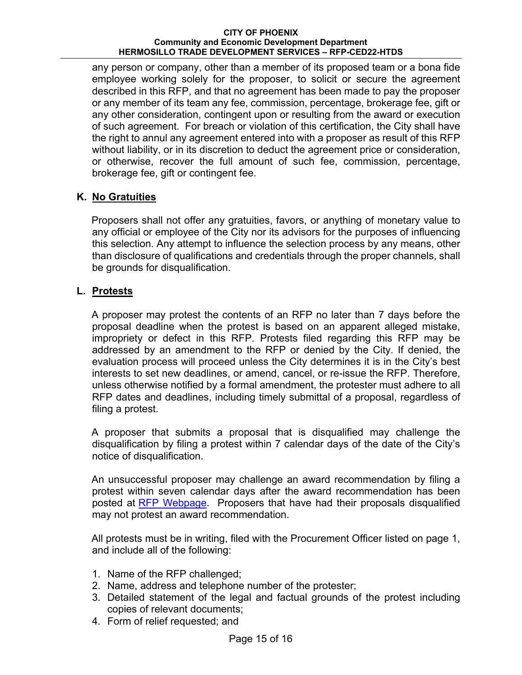any person or company, other than a member of its proposed team or a bona fide employee working solely for the proposer, to solicit or secure the agreement described in this RFP, and that no agreement has been made to pay the proposer or any member of its team any fee, commission, percentage, brokerage fee, gift or any other consideration, contingent upon or resulting from the award or execution of such agreement. For breach or violation of this certification, the City shall have the right to annul any agreement entered into with a proposer as result of this RFP without liability, or in its discretion to deduct the agreement price or consideration, or otherwise, recover the full amount of such fee, commission, percentage, brokerage fee, gift or contingent fee.

## **K. No Gratuities**

Proposers shall not offer any gratuities, favors, or anything of monetary value to any official or employee of the City nor its advisors for the purposes of influencing this selection. Any attempt to influence the selection process by any means, other than disclosure of qualifications and credentials through the proper channels, shall be grounds for disqualification.

## **L. Protests**

A proposer may protest the contents of an RFP no later than 7 days before the proposal deadline when the protest is based on an apparent alleged mistake, impropriety or defect in this RFP. Protests filed regarding this RFP may be addressed by an amendment to the RFP or denied by the City. If denied, the evaluation process will proceed unless the City determines it is in the City's best interests to set new deadlines, or amend, cancel, or re-issue the RFP. Therefore, unless otherwise notified by a formal amendment, the protester must adhere to all RFP dates and deadlines, including timely submittal of a proposal, regardless of filing a protest.

A proposer that submits a proposal that is disqualified may challenge the disqualification by filing a protest within 7 calendar days of the date of the City's notice of disqualification.

An unsuccessful proposer may challenge an award recommendation by filing a protest within seven calendar days after the award recommendation has been posted at RFP Webpage. Proposers that have had their proposals disqualified may not protest an award recommendation.

All protests must be in writing, filed with the Procurement Officer listed on page 1, and include all of the following:

- 1. Name of the RFP challenged;
- 2. Name, address and telephone number of the protester;
- 3. Detailed statement of the legal and factual grounds of the protest including copies of relevant documents;
- 4. Form of relief requested; and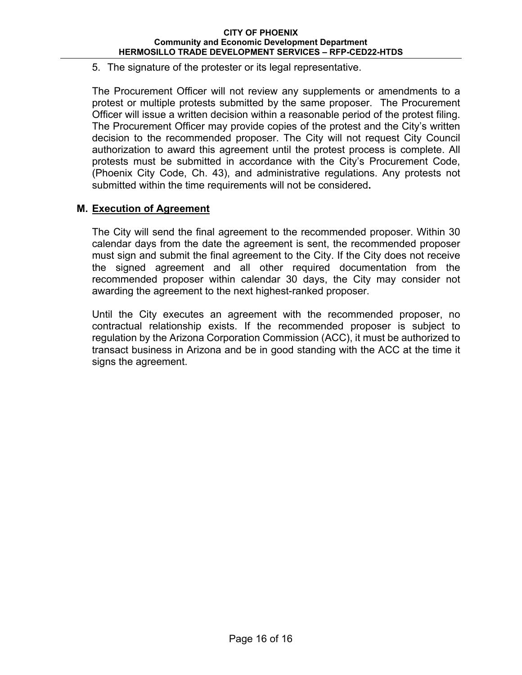5. The signature of the protester or its legal representative.

The Procurement Officer will not review any supplements or amendments to a protest or multiple protests submitted by the same proposer. The Procurement Officer will issue a written decision within a reasonable period of the protest filing. The Procurement Officer may provide copies of the protest and the City's written decision to the recommended proposer. The City will not request City Council authorization to award this agreement until the protest process is complete. All protests must be submitted in accordance with the City's Procurement Code, (Phoenix City Code, Ch. 43), and administrative regulations. Any protests not submitted within the time requirements will not be considered**.** 

## **M. Execution of Agreement**

The City will send the final agreement to the recommended proposer. Within 30 calendar days from the date the agreement is sent, the recommended proposer must sign and submit the final agreement to the City. If the City does not receive the signed agreement and all other required documentation from the recommended proposer within calendar 30 days, the City may consider not awarding the agreement to the next highest-ranked proposer.

Until the City executes an agreement with the recommended proposer, no contractual relationship exists. If the recommended proposer is subject to regulation by the Arizona Corporation Commission (ACC), it must be authorized to transact business in Arizona and be in good standing with the ACC at the time it signs the agreement.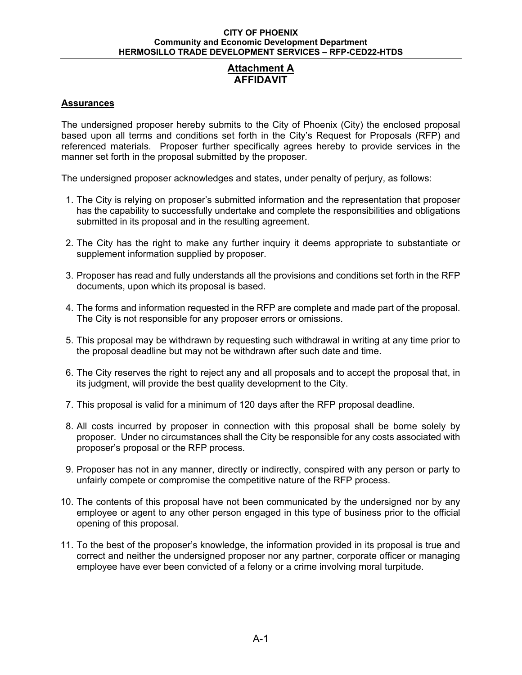## **Attachment A AFFIDAVIT**

### **Assurances**

The undersigned proposer hereby submits to the City of Phoenix (City) the enclosed proposal based upon all terms and conditions set forth in the City's Request for Proposals (RFP) and referenced materials. Proposer further specifically agrees hereby to provide services in the manner set forth in the proposal submitted by the proposer.

The undersigned proposer acknowledges and states, under penalty of perjury, as follows:

- 1. The City is relying on proposer's submitted information and the representation that proposer has the capability to successfully undertake and complete the responsibilities and obligations submitted in its proposal and in the resulting agreement.
- 2. The City has the right to make any further inquiry it deems appropriate to substantiate or supplement information supplied by proposer.
- 3. Proposer has read and fully understands all the provisions and conditions set forth in the RFP documents, upon which its proposal is based.
- 4. The forms and information requested in the RFP are complete and made part of the proposal. The City is not responsible for any proposer errors or omissions.
- 5. This proposal may be withdrawn by requesting such withdrawal in writing at any time prior to the proposal deadline but may not be withdrawn after such date and time.
- 6. The City reserves the right to reject any and all proposals and to accept the proposal that, in its judgment, will provide the best quality development to the City.
- 7. This proposal is valid for a minimum of 120 days after the RFP proposal deadline.
- 8. All costs incurred by proposer in connection with this proposal shall be borne solely by proposer. Under no circumstances shall the City be responsible for any costs associated with proposer's proposal or the RFP process.
- 9. Proposer has not in any manner, directly or indirectly, conspired with any person or party to unfairly compete or compromise the competitive nature of the RFP process.
- 10. The contents of this proposal have not been communicated by the undersigned nor by any employee or agent to any other person engaged in this type of business prior to the official opening of this proposal.
- 11. To the best of the proposer's knowledge, the information provided in its proposal is true and correct and neither the undersigned proposer nor any partner, corporate officer or managing employee have ever been convicted of a felony or a crime involving moral turpitude.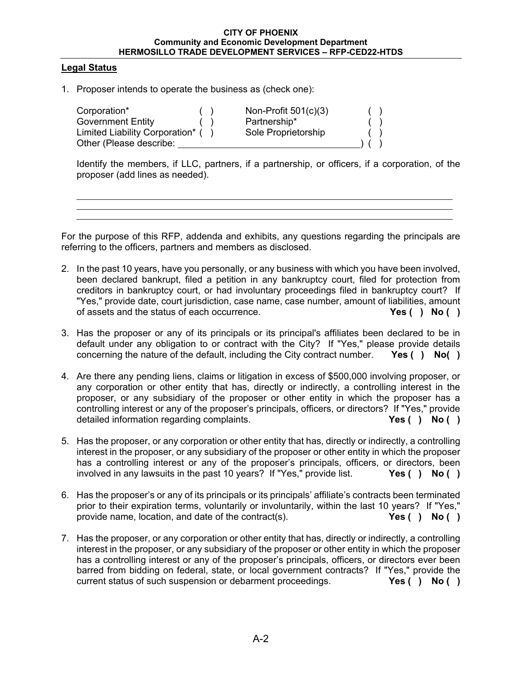#### **Legal Status**

1. Proposer intends to operate the business as (check one):

| Corporation*                     | Non-Profit $501(c)(3)$ |  |  |
|----------------------------------|------------------------|--|--|
| <b>Government Entity</b>         | Partnership*           |  |  |
| Limited Liability Corporation* ( | Sole Proprietorship    |  |  |
| Other (Please describe:          |                        |  |  |

Identify the members, if LLC, partners, if a partnership, or officers, if a corporation, of the proposer (add lines as needed).

For the purpose of this RFP, addenda and exhibits, any questions regarding the principals are referring to the officers, partners and members as disclosed.

- 2. In the past 10 years, have you personally, or any business with which you have been involved, been declared bankrupt, filed a petition in any bankruptcy court, filed for protection from creditors in bankruptcy court, or had involuntary proceedings filed in bankruptcy court? If "Yes," provide date, court jurisdiction, case name, case number, amount of liabilities, amount of assets and the status of each occurrence. **Yes ( ) No ( )**
- 3. Has the proposer or any of its principals or its principal's affiliates been declared to be in default under any obligation to or contract with the City? If "Yes," please provide details concerning the nature of the default, including the City contract number. **Yes ( ) No( )**
- 4. Are there any pending liens, claims or litigation in excess of \$500,000 involving proposer, or any corporation or other entity that has, directly or indirectly, a controlling interest in the proposer, or any subsidiary of the proposer or other entity in which the proposer has a controlling interest or any of the proposer's principals, officers, or directors? If "Yes," provide detailed information regarding complaints. **Yes ( ) No ( )**
- 5. Has the proposer, or any corporation or other entity that has, directly or indirectly, a controlling interest in the proposer, or any subsidiary of the proposer or other entity in which the proposer has a controlling interest or any of the proposer's principals, officers, or directors, been involved in any lawsuits in the past 10 years? If "Yes," provide list. **Yes ( ) No ( )**
- 6. Has the proposer's or any of its principals or its principals' affiliate's contracts been terminated prior to their expiration terms, voluntarily or involuntarily, within the last 10 years? If "Yes," provide name, location, and date of the contract(s). **Yes ( ) No ( )**
- 7. Has the proposer, or any corporation or other entity that has, directly or indirectly, a controlling interest in the proposer, or any subsidiary of the proposer or other entity in which the proposer has a controlling interest or any of the proposer's principals, officers, or directors ever been barred from bidding on federal, state, or local government contracts? If "Yes," provide the current status of such suspension or debarment proceedings. **Yes ( ) No ( )**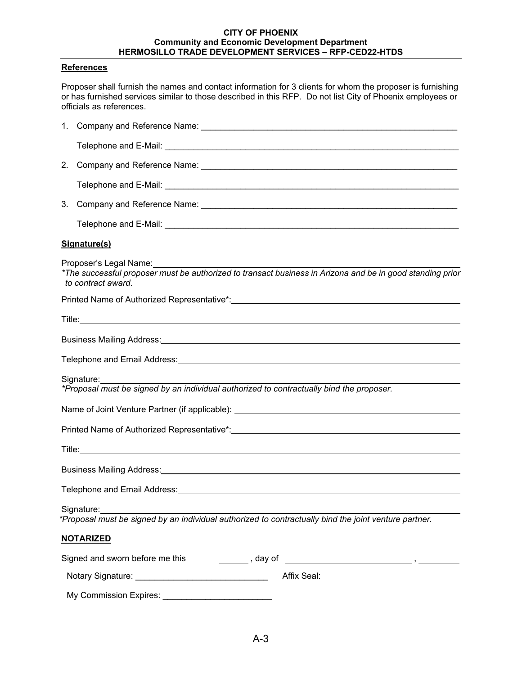#### **References**

Proposer shall furnish the names and contact information for 3 clients for whom the proposer is furnishing or has furnished services similar to those described in this RFP. Do not list City of Phoenix employees or officials as references.

| $3_{-}$ |                                                                                                                                                                                                                                      |
|---------|--------------------------------------------------------------------------------------------------------------------------------------------------------------------------------------------------------------------------------------|
|         |                                                                                                                                                                                                                                      |
|         | Signature(s)                                                                                                                                                                                                                         |
|         | Proposer's Legal Name: Value of the Manuscript of Proposer's Legal Name:<br>to contract award.                                                                                                                                       |
|         |                                                                                                                                                                                                                                      |
|         |                                                                                                                                                                                                                                      |
|         | Business Mailing Address: Note of the Contract of the Contract of the Contract of the Contract of the Contract of the Contract of the Contract of the Contract of the Contract of the Contract of the Contract of the Contract       |
|         | Telephone and Email Address: <u>Community of the Community of the Community of the Community of the Community of the Community of the Community of the Community of the Community of the Community of the Community of the Commu</u> |
|         | Signature:                                                                                                                                                                                                                           |
|         | *Proposal must be signed by an individual authorized to contractually bind the proposer.                                                                                                                                             |
|         |                                                                                                                                                                                                                                      |
|         |                                                                                                                                                                                                                                      |
|         |                                                                                                                                                                                                                                      |
|         |                                                                                                                                                                                                                                      |
|         |                                                                                                                                                                                                                                      |
|         | Signature:<br>*Proposal must be signed by an individual authorized to contractually bind the joint venture partner.                                                                                                                  |
|         | <b>NOTARIZED</b>                                                                                                                                                                                                                     |
|         | Signed and sworn before me this                                                                                                                                                                                                      |
|         | Affix Seal:                                                                                                                                                                                                                          |
|         | My Commission Expires:                                                                                                                                                                                                               |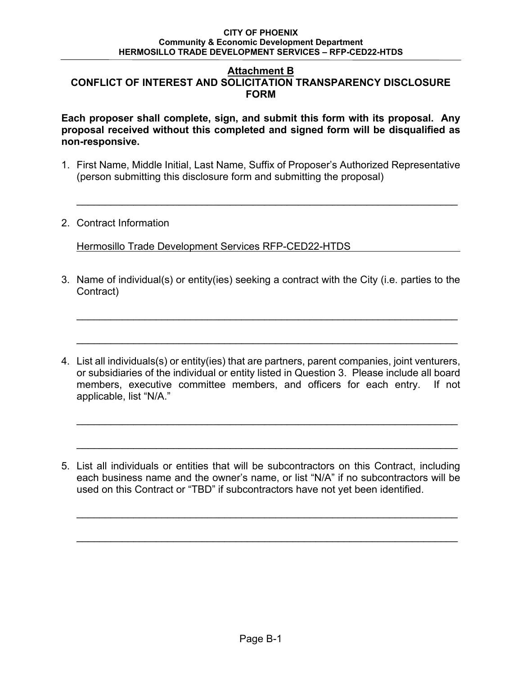### **Attachment B CONFLICT OF INTEREST AND SOLICITATION TRANSPARENCY DISCLOSURE FORM**

**Each proposer shall complete, sign, and submit this form with its proposal. Any proposal received without this completed and signed form will be disqualified as non-responsive.** 

1. First Name, Middle Initial, Last Name, Suffix of Proposer's Authorized Representative (person submitting this disclosure form and submitting the proposal)

 $\mathcal{L}_\mathcal{L} = \{ \mathcal{L}_\mathcal{L} = \{ \mathcal{L}_\mathcal{L} = \{ \mathcal{L}_\mathcal{L} = \{ \mathcal{L}_\mathcal{L} = \{ \mathcal{L}_\mathcal{L} = \{ \mathcal{L}_\mathcal{L} = \{ \mathcal{L}_\mathcal{L} = \{ \mathcal{L}_\mathcal{L} = \{ \mathcal{L}_\mathcal{L} = \{ \mathcal{L}_\mathcal{L} = \{ \mathcal{L}_\mathcal{L} = \{ \mathcal{L}_\mathcal{L} = \{ \mathcal{L}_\mathcal{L} = \{ \mathcal{L}_\mathcal{$ 

2. Contract Information

Hermosillo Trade Development Services RFP-CED22-HTDS

3. Name of individual(s) or entity(ies) seeking a contract with the City (i.e. parties to the Contract)

 $\overline{\phantom{a}}$  , and the contribution of the contribution of the contribution of the contribution of the contribution of the contribution of the contribution of the contribution of the contribution of the contribution of the

 $\overline{\phantom{a}}$  , and the contribution of the contribution of the contribution of the contribution of the contribution of the contribution of the contribution of the contribution of the contribution of the contribution of the

4. List all individuals(s) or entity(ies) that are partners, parent companies, joint venturers, or subsidiaries of the individual or entity listed in Question 3. Please include all board members, executive committee members, and officers for each entry. If not applicable, list "N/A."

 $\mathcal{L}_\mathcal{L} = \mathcal{L}_\mathcal{L} = \mathcal{L}_\mathcal{L} = \mathcal{L}_\mathcal{L} = \mathcal{L}_\mathcal{L} = \mathcal{L}_\mathcal{L} = \mathcal{L}_\mathcal{L} = \mathcal{L}_\mathcal{L} = \mathcal{L}_\mathcal{L} = \mathcal{L}_\mathcal{L} = \mathcal{L}_\mathcal{L} = \mathcal{L}_\mathcal{L} = \mathcal{L}_\mathcal{L} = \mathcal{L}_\mathcal{L} = \mathcal{L}_\mathcal{L} = \mathcal{L}_\mathcal{L} = \mathcal{L}_\mathcal{L}$ 

\_\_\_\_\_\_\_\_\_\_\_\_\_\_\_\_\_\_\_\_\_\_\_\_\_\_\_\_\_\_\_\_\_\_\_\_\_\_\_\_\_\_\_\_\_\_\_\_\_\_\_\_\_\_\_\_\_\_\_\_\_\_\_\_\_\_\_

5. List all individuals or entities that will be subcontractors on this Contract, including each business name and the owner's name, or list "N/A" if no subcontractors will be used on this Contract or "TBD" if subcontractors have not yet been identified.

 $\overline{\phantom{a}}$  , and the contribution of the contribution of the contribution of the contribution of the contribution of the contribution of the contribution of the contribution of the contribution of the contribution of the

 $\mathcal{L}_\mathcal{L} = \mathcal{L}_\mathcal{L} = \mathcal{L}_\mathcal{L} = \mathcal{L}_\mathcal{L} = \mathcal{L}_\mathcal{L} = \mathcal{L}_\mathcal{L} = \mathcal{L}_\mathcal{L} = \mathcal{L}_\mathcal{L} = \mathcal{L}_\mathcal{L} = \mathcal{L}_\mathcal{L} = \mathcal{L}_\mathcal{L} = \mathcal{L}_\mathcal{L} = \mathcal{L}_\mathcal{L} = \mathcal{L}_\mathcal{L} = \mathcal{L}_\mathcal{L} = \mathcal{L}_\mathcal{L} = \mathcal{L}_\mathcal{L}$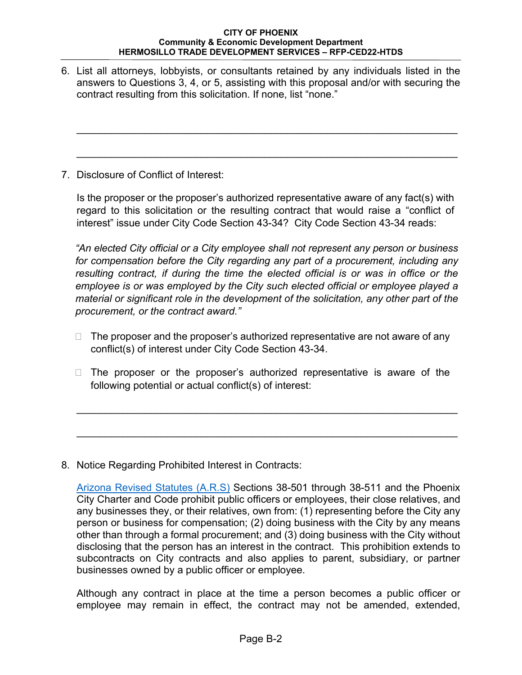6. List all attorneys, lobbyists, or consultants retained by any individuals listed in the answers to Questions 3, 4, or 5, assisting with this proposal and/or with securing the contract resulting from this solicitation. If none, list "none."

 $\mathcal{L}_\mathcal{L} = \{ \mathcal{L}_\mathcal{L} = \{ \mathcal{L}_\mathcal{L} = \{ \mathcal{L}_\mathcal{L} = \{ \mathcal{L}_\mathcal{L} = \{ \mathcal{L}_\mathcal{L} = \{ \mathcal{L}_\mathcal{L} = \{ \mathcal{L}_\mathcal{L} = \{ \mathcal{L}_\mathcal{L} = \{ \mathcal{L}_\mathcal{L} = \{ \mathcal{L}_\mathcal{L} = \{ \mathcal{L}_\mathcal{L} = \{ \mathcal{L}_\mathcal{L} = \{ \mathcal{L}_\mathcal{L} = \{ \mathcal{L}_\mathcal{$ 

 $\mathcal{L}_\mathcal{L} = \{ \mathcal{L}_\mathcal{L} = \{ \mathcal{L}_\mathcal{L} = \{ \mathcal{L}_\mathcal{L} = \{ \mathcal{L}_\mathcal{L} = \{ \mathcal{L}_\mathcal{L} = \{ \mathcal{L}_\mathcal{L} = \{ \mathcal{L}_\mathcal{L} = \{ \mathcal{L}_\mathcal{L} = \{ \mathcal{L}_\mathcal{L} = \{ \mathcal{L}_\mathcal{L} = \{ \mathcal{L}_\mathcal{L} = \{ \mathcal{L}_\mathcal{L} = \{ \mathcal{L}_\mathcal{L} = \{ \mathcal{L}_\mathcal{$ 

7. Disclosure of Conflict of Interest:

Is the proposer or the proposer's authorized representative aware of any fact(s) with regard to this solicitation or the resulting contract that would raise a "conflict of interest" issue under City Code Section 43-34? City Code Section 43-34 reads:

*"An elected City official or a City employee shall not represent any person or business for compensation before the City regarding any part of a procurement, including any resulting contract, if during the time the elected official is or was in office or the employee is or was employed by the City such elected official or employee played a material or significant role in the development of the solicitation, any other part of the procurement, or the contract award."* 

- $\Box$  The proposer and the proposer's authorized representative are not aware of any conflict(s) of interest under City Code Section 43-34.
- $\Box$  The proposer or the proposer's authorized representative is aware of the following potential or actual conflict(s) of interest:

 $\overline{\phantom{a}}$  , and the contribution of the contribution of the contribution of the contribution of the contribution of the contribution of the contribution of the contribution of the contribution of the contribution of the

 $\overline{\phantom{a}}$  , and the contribution of the contribution of the contribution of the contribution of the contribution of the contribution of the contribution of the contribution of the contribution of the contribution of the

8. Notice Regarding Prohibited Interest in Contracts:

Arizona Revised Statutes (A.R.S) Sections 38-501 through 38-511 and the Phoenix City Charter and Code prohibit public officers or employees, their close relatives, and any businesses they, or their relatives, own from: (1) representing before the City any person or business for compensation; (2) doing business with the City by any means other than through a formal procurement; and (3) doing business with the City without disclosing that the person has an interest in the contract. This prohibition extends to subcontracts on City contracts and also applies to parent, subsidiary, or partner businesses owned by a public officer or employee.

Although any contract in place at the time a person becomes a public officer or employee may remain in effect, the contract may not be amended, extended,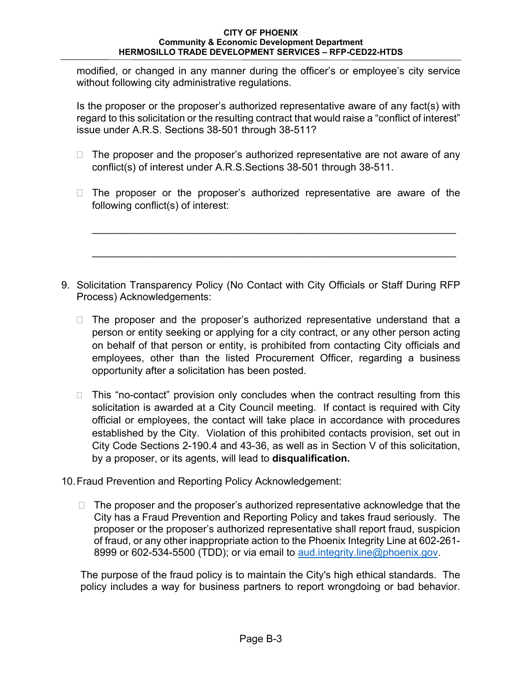modified, or changed in any manner during the officer's or employee's city service without following city administrative regulations.

Is the proposer or the proposer's authorized representative aware of any fact(s) with regard to this solicitation or the resulting contract that would raise a "conflict of interest" issue under A.R.S. Sections 38-501 through 38-511?

- $\Box$  The proposer and the proposer's authorized representative are not aware of any conflict(s) of interest under A.R.S.Sections 38-501 through 38-511.
- $\Box$  The proposer or the proposer's authorized representative are aware of the following conflict(s) of interest:

\_\_\_\_\_\_\_\_\_\_\_\_\_\_\_\_\_\_\_\_\_\_\_\_\_\_\_\_\_\_\_\_\_\_\_\_\_\_\_\_\_\_\_\_\_\_\_\_\_\_\_\_\_\_\_\_\_\_\_\_\_\_\_\_

 $\mathcal{L}_\text{max}$  , and the contribution of the contribution of the contribution of the contribution of the contribution of the contribution of the contribution of the contribution of the contribution of the contribution of t

- 9. Solicitation Transparency Policy (No Contact with City Officials or Staff During RFP Process) Acknowledgements:
	- $\Box$  The proposer and the proposer's authorized representative understand that a person or entity seeking or applying for a city contract, or any other person acting on behalf of that person or entity, is prohibited from contacting City officials and employees, other than the listed Procurement Officer, regarding a business opportunity after a solicitation has been posted.
	- $\Box$  This "no-contact" provision only concludes when the contract resulting from this solicitation is awarded at a City Council meeting. If contact is required with City official or employees, the contact will take place in accordance with procedures established by the City. Violation of this prohibited contacts provision, set out in City Code Sections 2-190.4 and 43-36, as well as in Section V of this solicitation, by a proposer, or its agents, will lead to **disqualification.**
- 10. Fraud Prevention and Reporting Policy Acknowledgement:
	- $\Box$  The proposer and the proposer's authorized representative acknowledge that the City has a Fraud Prevention and Reporting Policy and takes fraud seriously. The proposer or the proposer's authorized representative shall report fraud, suspicion of fraud, or any other inappropriate action to the Phoenix Integrity Line at 602-261- 8999 or 602-534-5500 (TDD); or via email to aud.integrity.line@phoenix.gov.

The purpose of the fraud policy is to maintain the City's high ethical standards. The policy includes a way for business partners to report wrongdoing or bad behavior.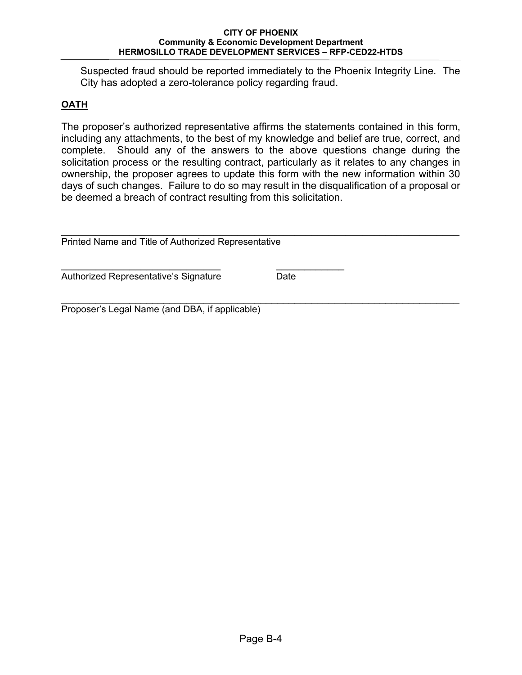Suspected fraud should be reported immediately to the Phoenix Integrity Line. The City has adopted a zero-tolerance policy regarding fraud.

## **OATH**

The proposer's authorized representative affirms the statements contained in this form, including any attachments, to the best of my knowledge and belief are true, correct, and complete. Should any of the answers to the above questions change during the solicitation process or the resulting contract, particularly as it relates to any changes in ownership, the proposer agrees to update this form with the new information within 30 days of such changes. Failure to do so may result in the disqualification of a proposal or be deemed a breach of contract resulting from this solicitation.

| Printed Name and Title of Authorized Representative |      |  |
|-----------------------------------------------------|------|--|
| Authorized Representative's Signature               | Date |  |

Proposer's Legal Name (and DBA, if applicable)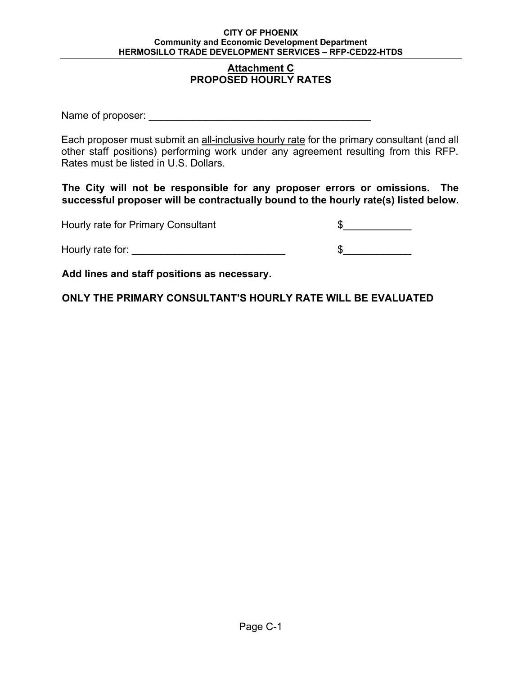### **Attachment C PROPOSED HOURLY RATES**

Name of proposer:  $\blacksquare$ 

Each proposer must submit an all-inclusive hourly rate for the primary consultant (and all other staff positions) performing work under any agreement resulting from this RFP. Rates must be listed in U.S. Dollars.

**The City will not be responsible for any proposer errors or omissions. The successful proposer will be contractually bound to the hourly rate(s) listed below.** 

| Hourly rate for Primary Consultant |  |
|------------------------------------|--|
| Hourly rate for:                   |  |

**Add lines and staff positions as necessary.** 

**ONLY THE PRIMARY CONSULTANT'S HOURLY RATE WILL BE EVALUATED**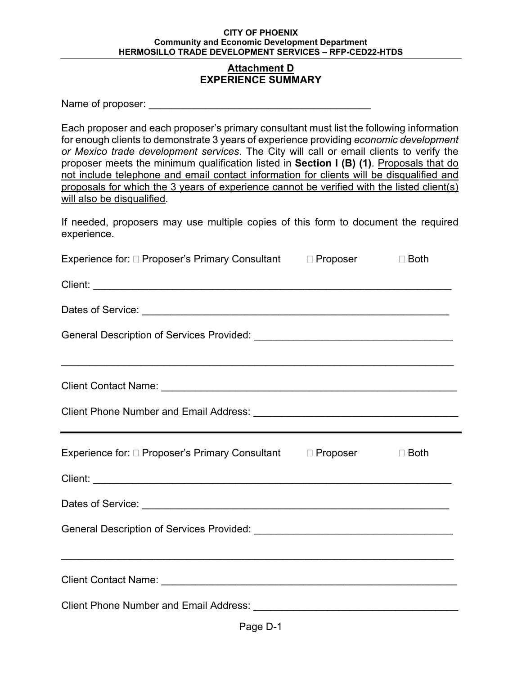### **Attachment D EXPERIENCE SUMMARY**

| Name of proposer: |  |
|-------------------|--|
|-------------------|--|

Each proposer and each proposer's primary consultant must list the following information for enough clients to demonstrate 3 years of experience providing *economic development or Mexico trade development services*. The City will call or email clients to verify the proposer meets the minimum qualification listed in **Section I (B) (1)**. Proposals that do not include telephone and email contact information for clients will be disqualified and proposals for which the 3 years of experience cannot be verified with the listed client(s) will also be disqualified.

If needed, proposers may use multiple copies of this form to document the required experience.

| Experience for: □ Proposer's Primary Consultant<br>$\Box$ Proposer<br>$\Box$ Both |  |  |
|-----------------------------------------------------------------------------------|--|--|
|                                                                                   |  |  |
|                                                                                   |  |  |
|                                                                                   |  |  |
|                                                                                   |  |  |
|                                                                                   |  |  |
|                                                                                   |  |  |
| Experience for: □ Proposer's Primary Consultant □ Proposer □ Both                 |  |  |
|                                                                                   |  |  |
|                                                                                   |  |  |
|                                                                                   |  |  |
| <u> 1989 - Johann Stoff, amerikansk politiker (d. 1989)</u>                       |  |  |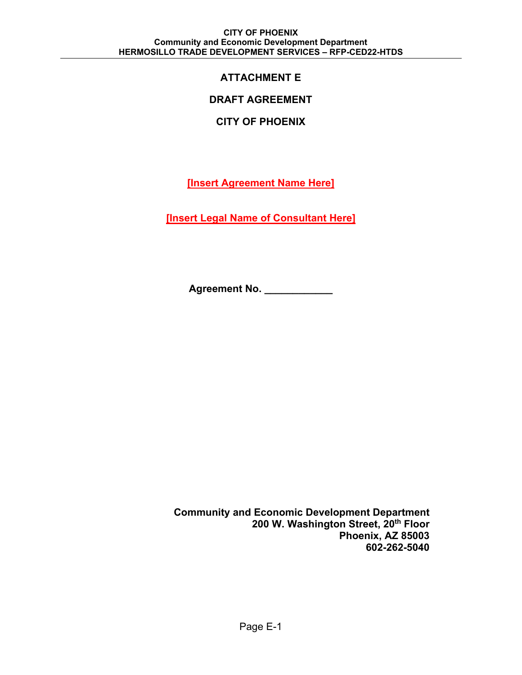# **ATTACHMENT E**

## **DRAFT AGREEMENT**

## **CITY OF PHOENIX**

**[Insert Agreement Name Here]** 

**[Insert Legal Name of Consultant Here]** 

**Agreement No.** 

**Community and Economic Development Department 200 W. Washington Street, 20th Floor Phoenix, AZ 85003 602-262-5040**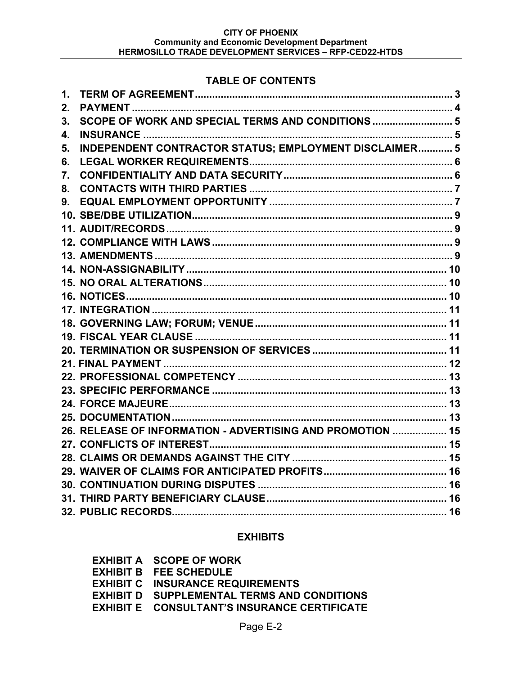## **TABLE OF CONTENTS**

| 1.             |                                                            |  |
|----------------|------------------------------------------------------------|--|
| 2.             |                                                            |  |
| 3 <sub>1</sub> |                                                            |  |
| 4.             |                                                            |  |
| 5.             | INDEPENDENT CONTRACTOR STATUS; EMPLOYMENT DISCLAIMER 5     |  |
| 6.             |                                                            |  |
| 7.             |                                                            |  |
| 8.             |                                                            |  |
| 9.             |                                                            |  |
|                |                                                            |  |
|                |                                                            |  |
|                |                                                            |  |
|                |                                                            |  |
|                |                                                            |  |
|                |                                                            |  |
|                |                                                            |  |
|                |                                                            |  |
|                |                                                            |  |
|                |                                                            |  |
|                |                                                            |  |
|                |                                                            |  |
|                |                                                            |  |
|                |                                                            |  |
|                |                                                            |  |
|                |                                                            |  |
|                | 26. RELEASE OF INFORMATION - ADVERTISING AND PROMOTION  15 |  |
|                |                                                            |  |
|                |                                                            |  |
|                |                                                            |  |
|                |                                                            |  |
|                |                                                            |  |
|                |                                                            |  |

## **EXHIBITS**

| <b>EXHIBIT A SCOPE OF WORK</b>                      |
|-----------------------------------------------------|
| <b>EXHIBIT B FEE SCHEDULE</b>                       |
| <b>EXHIBIT C INSURANCE REQUIREMENTS</b>             |
| <b>EXHIBIT D SUPPLEMENTAL TERMS AND CONDITIONS</b>  |
| <b>EXHIBIT E CONSULTANT'S INSURANCE CERTIFICATE</b> |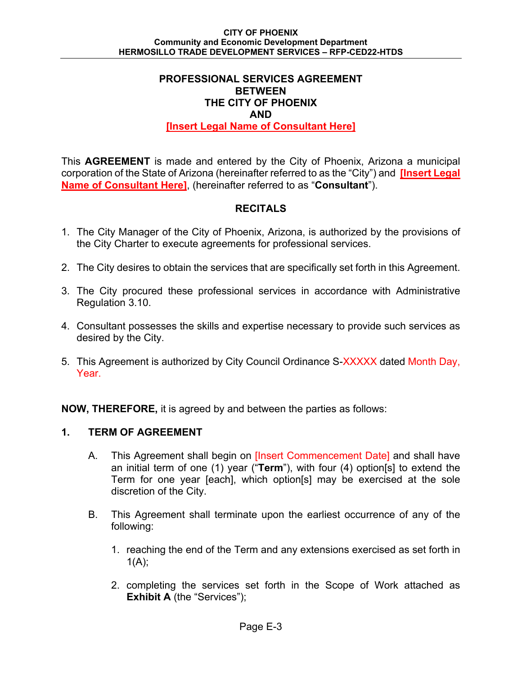## **PROFESSIONAL SERVICES AGREEMENT BETWEEN THE CITY OF PHOENIX AND [Insert Legal Name of Consultant Here]**

This **AGREEMENT** is made and entered by the City of Phoenix, Arizona a municipal corporation of the State of Arizona (hereinafter referred to as the "City") and **[Insert Legal Name of Consultant Here]**, (hereinafter referred to as "**Consultant**").

## **RECITALS**

- 1. The City Manager of the City of Phoenix, Arizona, is authorized by the provisions of the City Charter to execute agreements for professional services.
- 2. The City desires to obtain the services that are specifically set forth in this Agreement.
- 3. The City procured these professional services in accordance with Administrative Regulation 3.10.
- 4. Consultant possesses the skills and expertise necessary to provide such services as desired by the City.
- 5. This Agreement is authorized by City Council Ordinance S-XXXXX dated Month Day, Year.

**NOW, THEREFORE,** it is agreed by and between the parties as follows:

## **1. TERM OF AGREEMENT**

- A. This Agreement shall begin on *[Insert Commencement Date]* and shall have an initial term of one (1) year ("**Term**"), with four (4) option[s] to extend the Term for one year [each], which option[s] may be exercised at the sole discretion of the City.
- B. This Agreement shall terminate upon the earliest occurrence of any of the following:
	- 1. reaching the end of the Term and any extensions exercised as set forth in  $1(A)$ ;
	- 2. completing the services set forth in the Scope of Work attached as **Exhibit A** (the "Services");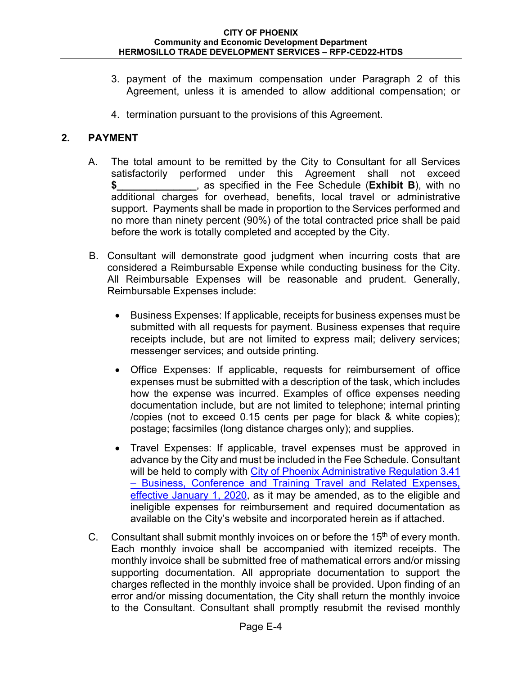- 3. payment of the maximum compensation under Paragraph 2 of this Agreement, unless it is amended to allow additional compensation; or
- 4. termination pursuant to the provisions of this Agreement.

## **2. PAYMENT**

- A. The total amount to be remitted by the City to Consultant for all Services satisfactorily performed under this Agreement shall not exceed **\$\_\_\_\_\_\_\_\_\_\_\_\_\_\_**, as specified in the Fee Schedule (**Exhibit B**), with no additional charges for overhead, benefits, local travel or administrative support. Payments shall be made in proportion to the Services performed and no more than ninety percent (90%) of the total contracted price shall be paid before the work is totally completed and accepted by the City.
- B. Consultant will demonstrate good judgment when incurring costs that are considered a Reimbursable Expense while conducting business for the City. All Reimbursable Expenses will be reasonable and prudent. Generally, Reimbursable Expenses include:
	- Business Expenses: If applicable, receipts for business expenses must be submitted with all requests for payment. Business expenses that require receipts include, but are not limited to express mail; delivery services; messenger services; and outside printing.
	- Office Expenses: If applicable, requests for reimbursement of office expenses must be submitted with a description of the task, which includes how the expense was incurred. Examples of office expenses needing documentation include, but are not limited to telephone; internal printing /copies (not to exceed 0.15 cents per page for black & white copies); postage; facsimiles (long distance charges only); and supplies.
	- Travel Expenses: If applicable, travel expenses must be approved in advance by the City and must be included in the Fee Schedule. Consultant will be held to comply with City of Phoenix Administrative Regulation 3.41 – Business, Conference and Training Travel and Related Expenses, effective January 1, 2020, as it may be amended, as to the eligible and ineligible expenses for reimbursement and required documentation as available on the City's website and incorporated herein as if attached.
- C. Consultant shall submit monthly invoices on or before the  $15<sup>th</sup>$  of every month. Each monthly invoice shall be accompanied with itemized receipts. The monthly invoice shall be submitted free of mathematical errors and/or missing supporting documentation. All appropriate documentation to support the charges reflected in the monthly invoice shall be provided. Upon finding of an error and/or missing documentation, the City shall return the monthly invoice to the Consultant. Consultant shall promptly resubmit the revised monthly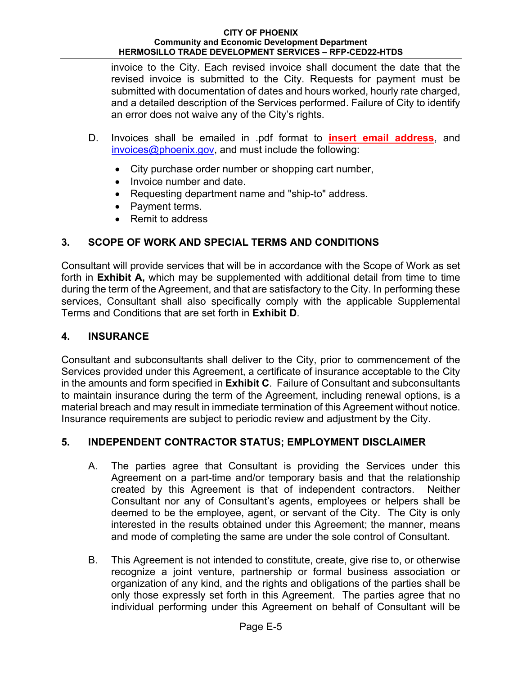invoice to the City. Each revised invoice shall document the date that the revised invoice is submitted to the City. Requests for payment must be submitted with documentation of dates and hours worked, hourly rate charged, and a detailed description of the Services performed. Failure of City to identify an error does not waive any of the City's rights.

- D. Invoices shall be emailed in .pdf format to **insert email address**, and invoices@phoenix.gov, and must include the following:
	- City purchase order number or shopping cart number,
	- Invoice number and date.
	- Requesting department name and "ship-to" address.
	- Payment terms.
	- Remit to address

# **3. SCOPE OF WORK AND SPECIAL TERMS AND CONDITIONS**

Consultant will provide services that will be in accordance with the Scope of Work as set forth in **Exhibit A,** which may be supplemented with additional detail from time to time during the term of the Agreement, and that are satisfactory to the City. In performing these services, Consultant shall also specifically comply with the applicable Supplemental Terms and Conditions that are set forth in **Exhibit D**.

## **4. INSURANCE**

Consultant and subconsultants shall deliver to the City, prior to commencement of the Services provided under this Agreement, a certificate of insurance acceptable to the City in the amounts and form specified in **Exhibit C**. Failure of Consultant and subconsultants to maintain insurance during the term of the Agreement, including renewal options, is a material breach and may result in immediate termination of this Agreement without notice. Insurance requirements are subject to periodic review and adjustment by the City.

# **5. INDEPENDENT CONTRACTOR STATUS; EMPLOYMENT DISCLAIMER**

- A. The parties agree that Consultant is providing the Services under this Agreement on a part-time and/or temporary basis and that the relationship created by this Agreement is that of independent contractors. Neither Consultant nor any of Consultant's agents, employees or helpers shall be deemed to be the employee, agent, or servant of the City. The City is only interested in the results obtained under this Agreement; the manner, means and mode of completing the same are under the sole control of Consultant.
- B. This Agreement is not intended to constitute, create, give rise to, or otherwise recognize a joint venture, partnership or formal business association or organization of any kind, and the rights and obligations of the parties shall be only those expressly set forth in this Agreement. The parties agree that no individual performing under this Agreement on behalf of Consultant will be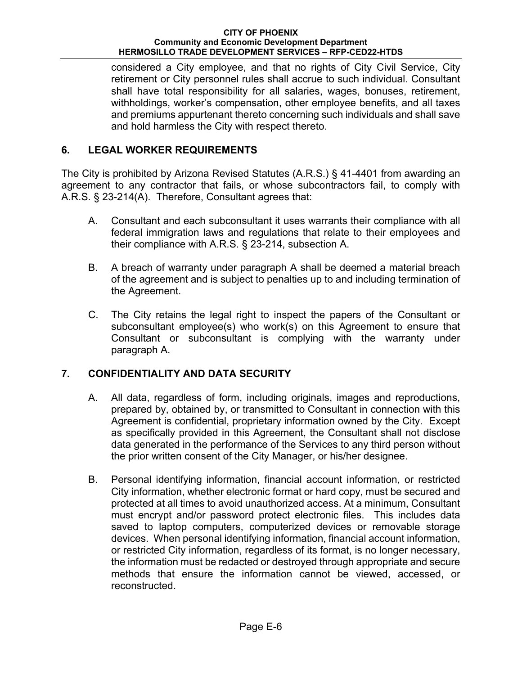considered a City employee, and that no rights of City Civil Service, City retirement or City personnel rules shall accrue to such individual. Consultant shall have total responsibility for all salaries, wages, bonuses, retirement, withholdings, worker's compensation, other employee benefits, and all taxes and premiums appurtenant thereto concerning such individuals and shall save and hold harmless the City with respect thereto.

## **6. LEGAL WORKER REQUIREMENTS**

The City is prohibited by Arizona Revised Statutes (A.R.S.) § 41-4401 from awarding an agreement to any contractor that fails, or whose subcontractors fail, to comply with A.R.S. § 23-214(A). Therefore, Consultant agrees that:

- A. Consultant and each subconsultant it uses warrants their compliance with all federal immigration laws and regulations that relate to their employees and their compliance with A.R.S. § 23-214, subsection A.
- B. A breach of warranty under paragraph A shall be deemed a material breach of the agreement and is subject to penalties up to and including termination of the Agreement.
- C. The City retains the legal right to inspect the papers of the Consultant or subconsultant employee(s) who work(s) on this Agreement to ensure that Consultant or subconsultant is complying with the warranty under paragraph A.

## **7. CONFIDENTIALITY AND DATA SECURITY**

- A. All data, regardless of form, including originals, images and reproductions, prepared by, obtained by, or transmitted to Consultant in connection with this Agreement is confidential, proprietary information owned by the City. Except as specifically provided in this Agreement, the Consultant shall not disclose data generated in the performance of the Services to any third person without the prior written consent of the City Manager, or his/her designee.
- B. Personal identifying information, financial account information, or restricted City information, whether electronic format or hard copy, must be secured and protected at all times to avoid unauthorized access. At a minimum, Consultant must encrypt and/or password protect electronic files. This includes data saved to laptop computers, computerized devices or removable storage devices. When personal identifying information, financial account information, or restricted City information, regardless of its format, is no longer necessary, the information must be redacted or destroyed through appropriate and secure methods that ensure the information cannot be viewed, accessed, or reconstructed.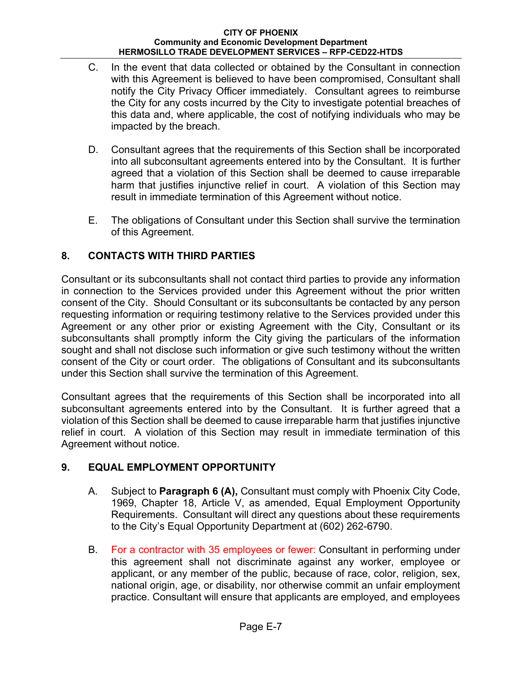- C. In the event that data collected or obtained by the Consultant in connection with this Agreement is believed to have been compromised, Consultant shall notify the City Privacy Officer immediately. Consultant agrees to reimburse the City for any costs incurred by the City to investigate potential breaches of this data and, where applicable, the cost of notifying individuals who may be impacted by the breach.
- D. Consultant agrees that the requirements of this Section shall be incorporated into all subconsultant agreements entered into by the Consultant. It is further agreed that a violation of this Section shall be deemed to cause irreparable harm that justifies injunctive relief in court. A violation of this Section may result in immediate termination of this Agreement without notice.
- E. The obligations of Consultant under this Section shall survive the termination of this Agreement.

## **8. CONTACTS WITH THIRD PARTIES**

Consultant or its subconsultants shall not contact third parties to provide any information in connection to the Services provided under this Agreement without the prior written consent of the City. Should Consultant or its subconsultants be contacted by any person requesting information or requiring testimony relative to the Services provided under this Agreement or any other prior or existing Agreement with the City, Consultant or its subconsultants shall promptly inform the City giving the particulars of the information sought and shall not disclose such information or give such testimony without the written consent of the City or court order. The obligations of Consultant and its subconsultants under this Section shall survive the termination of this Agreement.

Consultant agrees that the requirements of this Section shall be incorporated into all subconsultant agreements entered into by the Consultant. It is further agreed that a violation of this Section shall be deemed to cause irreparable harm that justifies injunctive relief in court. A violation of this Section may result in immediate termination of this Agreement without notice.

# **9. EQUAL EMPLOYMENT OPPORTUNITY**

- A. Subject to **Paragraph 6 (A),** Consultant must comply with Phoenix City Code, 1969, Chapter 18, Article V, as amended, Equal Employment Opportunity Requirements. Consultant will direct any questions about these requirements to the City's Equal Opportunity Department at (602) 262-6790.
- B. For a contractor with 35 employees or fewer: Consultant in performing under this agreement shall not discriminate against any worker, employee or applicant, or any member of the public, because of race, color, religion, sex, national origin, age, or disability, nor otherwise commit an unfair employment practice. Consultant will ensure that applicants are employed, and employees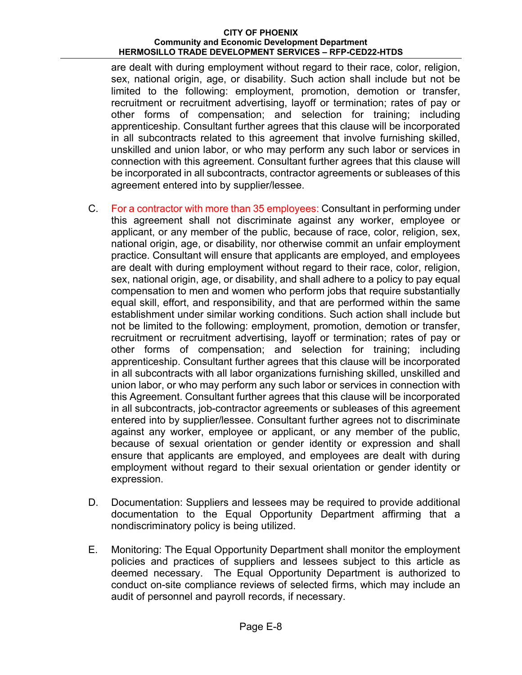are dealt with during employment without regard to their race, color, religion, sex, national origin, age, or disability. Such action shall include but not be limited to the following: employment, promotion, demotion or transfer, recruitment or recruitment advertising, layoff or termination; rates of pay or other forms of compensation; and selection for training; including apprenticeship. Consultant further agrees that this clause will be incorporated in all subcontracts related to this agreement that involve furnishing skilled, unskilled and union labor, or who may perform any such labor or services in connection with this agreement. Consultant further agrees that this clause will be incorporated in all subcontracts, contractor agreements or subleases of this agreement entered into by supplier/lessee.

- C. For a contractor with more than 35 employees: Consultant in performing under this agreement shall not discriminate against any worker, employee or applicant, or any member of the public, because of race, color, religion, sex, national origin, age, or disability, nor otherwise commit an unfair employment practice. Consultant will ensure that applicants are employed, and employees are dealt with during employment without regard to their race, color, religion, sex, national origin, age, or disability, and shall adhere to a policy to pay equal compensation to men and women who perform jobs that require substantially equal skill, effort, and responsibility, and that are performed within the same establishment under similar working conditions. Such action shall include but not be limited to the following: employment, promotion, demotion or transfer, recruitment or recruitment advertising, layoff or termination; rates of pay or other forms of compensation; and selection for training; including apprenticeship. Consultant further agrees that this clause will be incorporated in all subcontracts with all labor organizations furnishing skilled, unskilled and union labor, or who may perform any such labor or services in connection with this Agreement. Consultant further agrees that this clause will be incorporated in all subcontracts, job-contractor agreements or subleases of this agreement entered into by supplier/lessee. Consultant further agrees not to discriminate against any worker, employee or applicant, or any member of the public, because of sexual orientation or gender identity or expression and shall ensure that applicants are employed, and employees are dealt with during employment without regard to their sexual orientation or gender identity or expression.
- D. Documentation: Suppliers and lessees may be required to provide additional documentation to the Equal Opportunity Department affirming that a nondiscriminatory policy is being utilized.
- E. Monitoring: The Equal Opportunity Department shall monitor the employment policies and practices of suppliers and lessees subject to this article as deemed necessary. The Equal Opportunity Department is authorized to conduct on-site compliance reviews of selected firms, which may include an audit of personnel and payroll records, if necessary.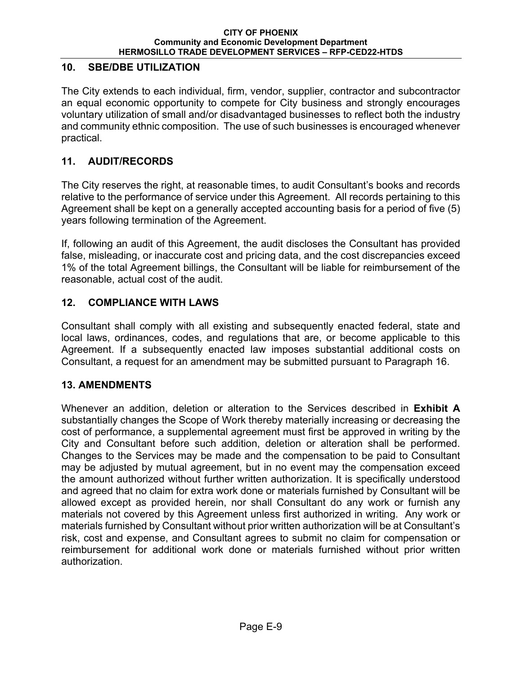## **10. SBE/DBE UTILIZATION**

The City extends to each individual, firm, vendor, supplier, contractor and subcontractor an equal economic opportunity to compete for City business and strongly encourages voluntary utilization of small and/or disadvantaged businesses to reflect both the industry and community ethnic composition. The use of such businesses is encouraged whenever practical.

## **11. AUDIT/RECORDS**

The City reserves the right, at reasonable times, to audit Consultant's books and records relative to the performance of service under this Agreement. All records pertaining to this Agreement shall be kept on a generally accepted accounting basis for a period of five (5) years following termination of the Agreement.

If, following an audit of this Agreement, the audit discloses the Consultant has provided false, misleading, or inaccurate cost and pricing data, and the cost discrepancies exceed 1% of the total Agreement billings, the Consultant will be liable for reimbursement of the reasonable, actual cost of the audit.

## **12. COMPLIANCE WITH LAWS**

Consultant shall comply with all existing and subsequently enacted federal, state and local laws, ordinances, codes, and regulations that are, or become applicable to this Agreement. If a subsequently enacted law imposes substantial additional costs on Consultant, a request for an amendment may be submitted pursuant to Paragraph 16.

## **13. AMENDMENTS**

Whenever an addition, deletion or alteration to the Services described in **Exhibit A** substantially changes the Scope of Work thereby materially increasing or decreasing the cost of performance, a supplemental agreement must first be approved in writing by the City and Consultant before such addition, deletion or alteration shall be performed. Changes to the Services may be made and the compensation to be paid to Consultant may be adjusted by mutual agreement, but in no event may the compensation exceed the amount authorized without further written authorization. It is specifically understood and agreed that no claim for extra work done or materials furnished by Consultant will be allowed except as provided herein, nor shall Consultant do any work or furnish any materials not covered by this Agreement unless first authorized in writing. Any work or materials furnished by Consultant without prior written authorization will be at Consultant's risk, cost and expense, and Consultant agrees to submit no claim for compensation or reimbursement for additional work done or materials furnished without prior written authorization.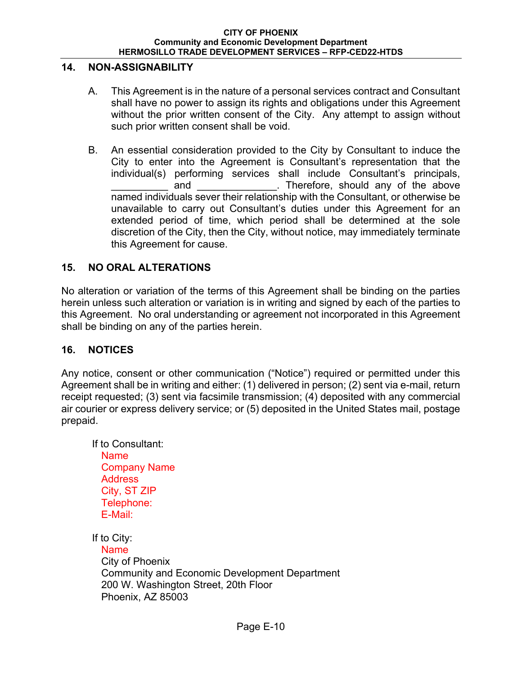## **14. NON-ASSIGNABILITY**

- A. This Agreement is in the nature of a personal services contract and Consultant shall have no power to assign its rights and obligations under this Agreement without the prior written consent of the City. Any attempt to assign without such prior written consent shall be void.
- B. An essential consideration provided to the City by Consultant to induce the City to enter into the Agreement is Consultant's representation that the individual(s) performing services shall include Consultant's principals, and and and and any of the above and  $\overline{a}$ . Therefore, should any of the above named individuals sever their relationship with the Consultant, or otherwise be unavailable to carry out Consultant's duties under this Agreement for an extended period of time, which period shall be determined at the sole discretion of the City, then the City, without notice, may immediately terminate this Agreement for cause.

## **15. NO ORAL ALTERATIONS**

No alteration or variation of the terms of this Agreement shall be binding on the parties herein unless such alteration or variation is in writing and signed by each of the parties to this Agreement. No oral understanding or agreement not incorporated in this Agreement shall be binding on any of the parties herein.

### **16. NOTICES**

Any notice, consent or other communication ("Notice") required or permitted under this Agreement shall be in writing and either: (1) delivered in person; (2) sent via e-mail, return receipt requested; (3) sent via facsimile transmission; (4) deposited with any commercial air courier or express delivery service; or (5) deposited in the United States mail, postage prepaid.

 If to Consultant: Name Company Name **Address** City, ST ZIP Telephone: E-Mail:

If to City: Name City of Phoenix Community and Economic Development Department 200 W. Washington Street, 20th Floor Phoenix, AZ 85003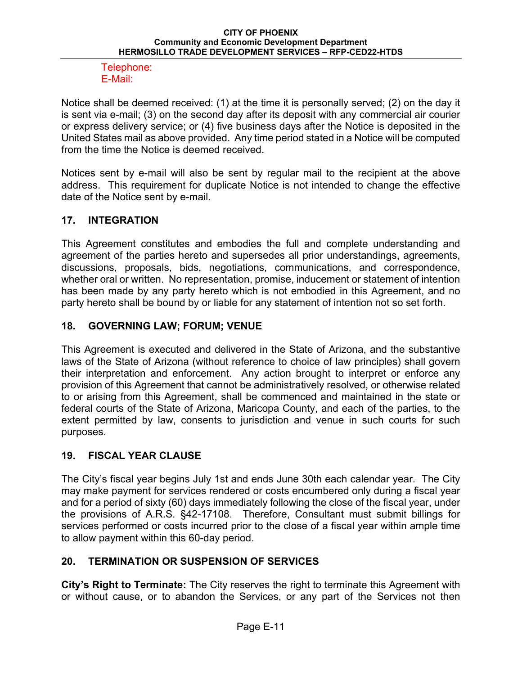### Telephone: E-Mail:

Notice shall be deemed received: (1) at the time it is personally served; (2) on the day it is sent via e-mail; (3) on the second day after its deposit with any commercial air courier or express delivery service; or (4) five business days after the Notice is deposited in the United States mail as above provided. Any time period stated in a Notice will be computed from the time the Notice is deemed received.

Notices sent by e-mail will also be sent by regular mail to the recipient at the above address. This requirement for duplicate Notice is not intended to change the effective date of the Notice sent by e-mail.

## **17. INTEGRATION**

This Agreement constitutes and embodies the full and complete understanding and agreement of the parties hereto and supersedes all prior understandings, agreements, discussions, proposals, bids, negotiations, communications, and correspondence, whether oral or written. No representation, promise, inducement or statement of intention has been made by any party hereto which is not embodied in this Agreement, and no party hereto shall be bound by or liable for any statement of intention not so set forth.

## **18. GOVERNING LAW; FORUM; VENUE**

This Agreement is executed and delivered in the State of Arizona, and the substantive laws of the State of Arizona (without reference to choice of law principles) shall govern their interpretation and enforcement. Any action brought to interpret or enforce any provision of this Agreement that cannot be administratively resolved, or otherwise related to or arising from this Agreement, shall be commenced and maintained in the state or federal courts of the State of Arizona, Maricopa County, and each of the parties, to the extent permitted by law, consents to jurisdiction and venue in such courts for such purposes.

# **19. FISCAL YEAR CLAUSE**

The City's fiscal year begins July 1st and ends June 30th each calendar year. The City may make payment for services rendered or costs encumbered only during a fiscal year and for a period of sixty (60) days immediately following the close of the fiscal year, under the provisions of A.R.S. §42-17108. Therefore, Consultant must submit billings for services performed or costs incurred prior to the close of a fiscal year within ample time to allow payment within this 60-day period.

# **20. TERMINATION OR SUSPENSION OF SERVICES**

**City's Right to Terminate:** The City reserves the right to terminate this Agreement with or without cause, or to abandon the Services, or any part of the Services not then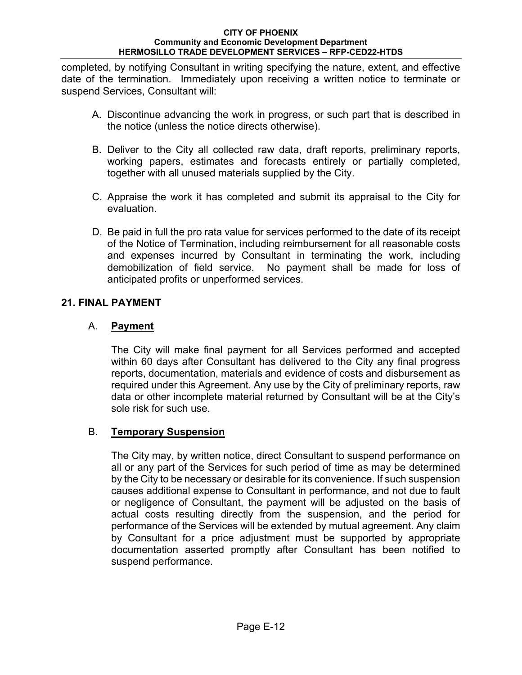completed, by notifying Consultant in writing specifying the nature, extent, and effective date of the termination. Immediately upon receiving a written notice to terminate or suspend Services, Consultant will:

- A. Discontinue advancing the work in progress, or such part that is described in the notice (unless the notice directs otherwise).
- B. Deliver to the City all collected raw data, draft reports, preliminary reports, working papers, estimates and forecasts entirely or partially completed, together with all unused materials supplied by the City.
- C. Appraise the work it has completed and submit its appraisal to the City for evaluation.
- D. Be paid in full the pro rata value for services performed to the date of its receipt of the Notice of Termination, including reimbursement for all reasonable costs and expenses incurred by Consultant in terminating the work, including demobilization of field service. No payment shall be made for loss of anticipated profits or unperformed services.

## **21. FINAL PAYMENT**

## A. **Payment**

The City will make final payment for all Services performed and accepted within 60 days after Consultant has delivered to the City any final progress reports, documentation, materials and evidence of costs and disbursement as required under this Agreement. Any use by the City of preliminary reports, raw data or other incomplete material returned by Consultant will be at the City's sole risk for such use.

# B. **Temporary Suspension**

The City may, by written notice, direct Consultant to suspend performance on all or any part of the Services for such period of time as may be determined by the City to be necessary or desirable for its convenience. If such suspension causes additional expense to Consultant in performance, and not due to fault or negligence of Consultant, the payment will be adjusted on the basis of actual costs resulting directly from the suspension, and the period for performance of the Services will be extended by mutual agreement. Any claim by Consultant for a price adjustment must be supported by appropriate documentation asserted promptly after Consultant has been notified to suspend performance.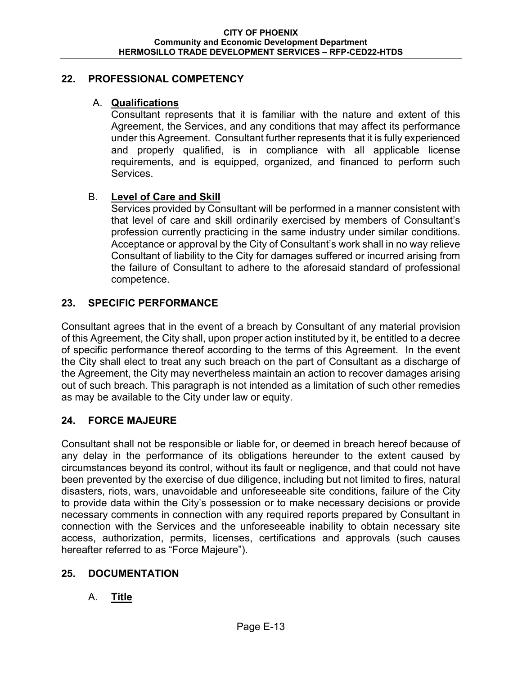## **22. PROFESSIONAL COMPETENCY**

## A. **Qualifications**

Consultant represents that it is familiar with the nature and extent of this Agreement, the Services, and any conditions that may affect its performance under this Agreement. Consultant further represents that it is fully experienced and properly qualified, is in compliance with all applicable license requirements, and is equipped, organized, and financed to perform such Services.

## B. **Level of Care and Skill**

Services provided by Consultant will be performed in a manner consistent with that level of care and skill ordinarily exercised by members of Consultant's profession currently practicing in the same industry under similar conditions. Acceptance or approval by the City of Consultant's work shall in no way relieve Consultant of liability to the City for damages suffered or incurred arising from the failure of Consultant to adhere to the aforesaid standard of professional competence.

## **23. SPECIFIC PERFORMANCE**

Consultant agrees that in the event of a breach by Consultant of any material provision of this Agreement, the City shall, upon proper action instituted by it, be entitled to a decree of specific performance thereof according to the terms of this Agreement. In the event the City shall elect to treat any such breach on the part of Consultant as a discharge of the Agreement, the City may nevertheless maintain an action to recover damages arising out of such breach. This paragraph is not intended as a limitation of such other remedies as may be available to the City under law or equity.

## **24. FORCE MAJEURE**

Consultant shall not be responsible or liable for, or deemed in breach hereof because of any delay in the performance of its obligations hereunder to the extent caused by circumstances beyond its control, without its fault or negligence, and that could not have been prevented by the exercise of due diligence, including but not limited to fires, natural disasters, riots, wars, unavoidable and unforeseeable site conditions, failure of the City to provide data within the City's possession or to make necessary decisions or provide necessary comments in connection with any required reports prepared by Consultant in connection with the Services and the unforeseeable inability to obtain necessary site access, authorization, permits, licenses, certifications and approvals (such causes hereafter referred to as "Force Majeure").

## **25. DOCUMENTATION**

## A. **Title**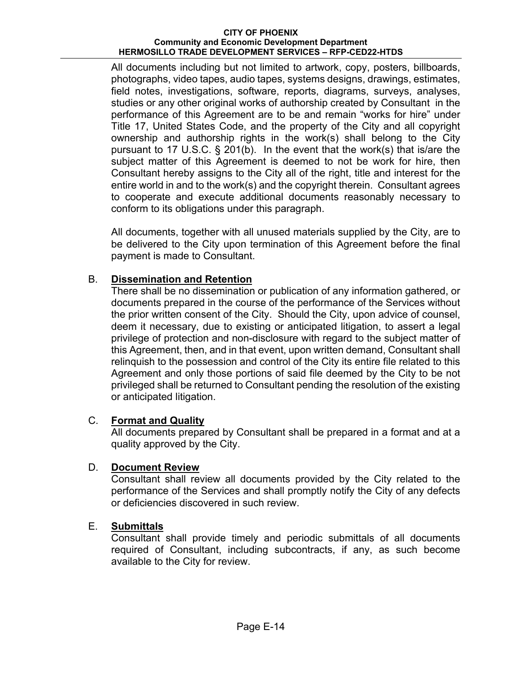All documents including but not limited to artwork, copy, posters, billboards, photographs, video tapes, audio tapes, systems designs, drawings, estimates, field notes, investigations, software, reports, diagrams, surveys, analyses, studies or any other original works of authorship created by Consultant in the performance of this Agreement are to be and remain "works for hire" under Title 17, United States Code, and the property of the City and all copyright ownership and authorship rights in the work(s) shall belong to the City pursuant to 17 U.S.C. § 201(b). In the event that the work(s) that is/are the subject matter of this Agreement is deemed to not be work for hire, then Consultant hereby assigns to the City all of the right, title and interest for the entire world in and to the work(s) and the copyright therein. Consultant agrees to cooperate and execute additional documents reasonably necessary to conform to its obligations under this paragraph.

All documents, together with all unused materials supplied by the City, are to be delivered to the City upon termination of this Agreement before the final payment is made to Consultant.

## B. **Dissemination and Retention**

There shall be no dissemination or publication of any information gathered, or documents prepared in the course of the performance of the Services without the prior written consent of the City. Should the City, upon advice of counsel, deem it necessary, due to existing or anticipated litigation, to assert a legal privilege of protection and non-disclosure with regard to the subject matter of this Agreement, then, and in that event, upon written demand, Consultant shall relinquish to the possession and control of the City its entire file related to this Agreement and only those portions of said file deemed by the City to be not privileged shall be returned to Consultant pending the resolution of the existing or anticipated litigation.

## C. **Format and Quality**

All documents prepared by Consultant shall be prepared in a format and at a quality approved by the City.

## D. **Document Review**

Consultant shall review all documents provided by the City related to the performance of the Services and shall promptly notify the City of any defects or deficiencies discovered in such review.

## E. **Submittals**

Consultant shall provide timely and periodic submittals of all documents required of Consultant, including subcontracts, if any, as such become available to the City for review.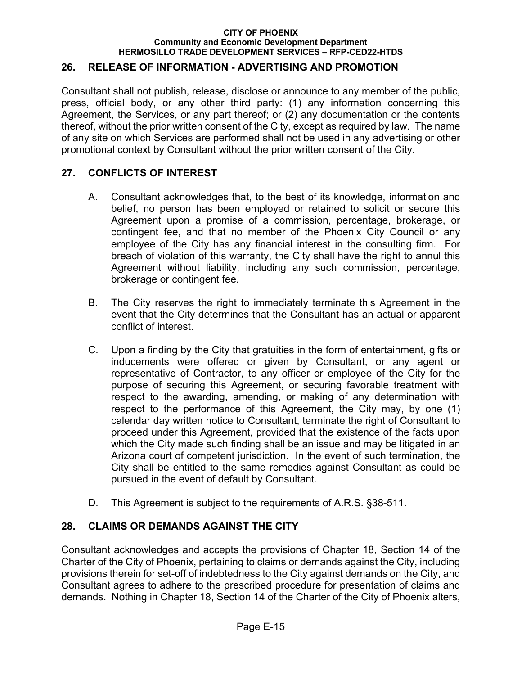## **26. RELEASE OF INFORMATION - ADVERTISING AND PROMOTION**

Consultant shall not publish, release, disclose or announce to any member of the public, press, official body, or any other third party: (1) any information concerning this Agreement, the Services, or any part thereof; or (2) any documentation or the contents thereof, without the prior written consent of the City, except as required by law. The name of any site on which Services are performed shall not be used in any advertising or other promotional context by Consultant without the prior written consent of the City.

## **27. CONFLICTS OF INTEREST**

- A. Consultant acknowledges that, to the best of its knowledge, information and belief, no person has been employed or retained to solicit or secure this Agreement upon a promise of a commission, percentage, brokerage, or contingent fee, and that no member of the Phoenix City Council or any employee of the City has any financial interest in the consulting firm. For breach of violation of this warranty, the City shall have the right to annul this Agreement without liability, including any such commission, percentage, brokerage or contingent fee.
- B. The City reserves the right to immediately terminate this Agreement in the event that the City determines that the Consultant has an actual or apparent conflict of interest.
- C. Upon a finding by the City that gratuities in the form of entertainment, gifts or inducements were offered or given by Consultant, or any agent or representative of Contractor, to any officer or employee of the City for the purpose of securing this Agreement, or securing favorable treatment with respect to the awarding, amending, or making of any determination with respect to the performance of this Agreement, the City may, by one (1) calendar day written notice to Consultant, terminate the right of Consultant to proceed under this Agreement, provided that the existence of the facts upon which the City made such finding shall be an issue and may be litigated in an Arizona court of competent jurisdiction. In the event of such termination, the City shall be entitled to the same remedies against Consultant as could be pursued in the event of default by Consultant.
- D. This Agreement is subject to the requirements of A.R.S. §38-511.

## **28. CLAIMS OR DEMANDS AGAINST THE CITY**

Consultant acknowledges and accepts the provisions of Chapter 18, Section 14 of the Charter of the City of Phoenix, pertaining to claims or demands against the City, including provisions therein for set-off of indebtedness to the City against demands on the City, and Consultant agrees to adhere to the prescribed procedure for presentation of claims and demands. Nothing in Chapter 18, Section 14 of the Charter of the City of Phoenix alters,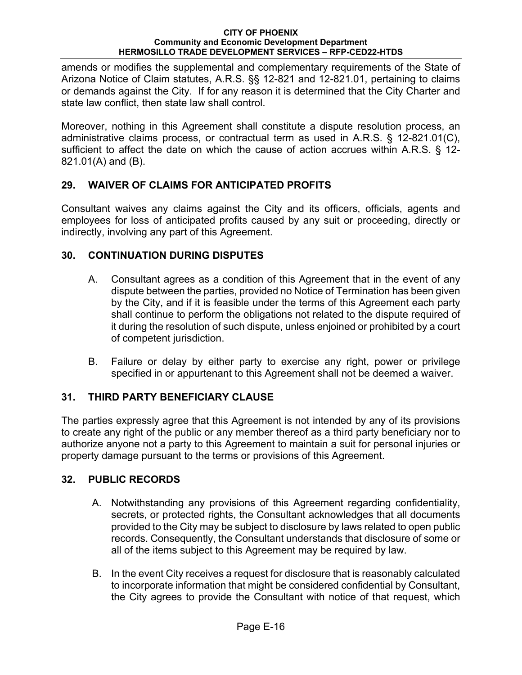amends or modifies the supplemental and complementary requirements of the State of Arizona Notice of Claim statutes, A.R.S. §§ 12-821 and 12-821.01, pertaining to claims or demands against the City. If for any reason it is determined that the City Charter and state law conflict, then state law shall control.

Moreover, nothing in this Agreement shall constitute a dispute resolution process, an administrative claims process, or contractual term as used in A.R.S. § 12-821.01(C), sufficient to affect the date on which the cause of action accrues within A.R.S. § 12- 821.01(A) and (B).

## **29. WAIVER OF CLAIMS FOR ANTICIPATED PROFITS**

Consultant waives any claims against the City and its officers, officials, agents and employees for loss of anticipated profits caused by any suit or proceeding, directly or indirectly, involving any part of this Agreement.

## **30. CONTINUATION DURING DISPUTES**

- A. Consultant agrees as a condition of this Agreement that in the event of any dispute between the parties, provided no Notice of Termination has been given by the City, and if it is feasible under the terms of this Agreement each party shall continue to perform the obligations not related to the dispute required of it during the resolution of such dispute, unless enjoined or prohibited by a court of competent jurisdiction.
- B. Failure or delay by either party to exercise any right, power or privilege specified in or appurtenant to this Agreement shall not be deemed a waiver.

# **31. THIRD PARTY BENEFICIARY CLAUSE**

The parties expressly agree that this Agreement is not intended by any of its provisions to create any right of the public or any member thereof as a third party beneficiary nor to authorize anyone not a party to this Agreement to maintain a suit for personal injuries or property damage pursuant to the terms or provisions of this Agreement.

# **32. PUBLIC RECORDS**

- A. Notwithstanding any provisions of this Agreement regarding confidentiality, secrets, or protected rights, the Consultant acknowledges that all documents provided to the City may be subject to disclosure by laws related to open public records. Consequently, the Consultant understands that disclosure of some or all of the items subject to this Agreement may be required by law.
- B. In the event City receives a request for disclosure that is reasonably calculated to incorporate information that might be considered confidential by Consultant, the City agrees to provide the Consultant with notice of that request, which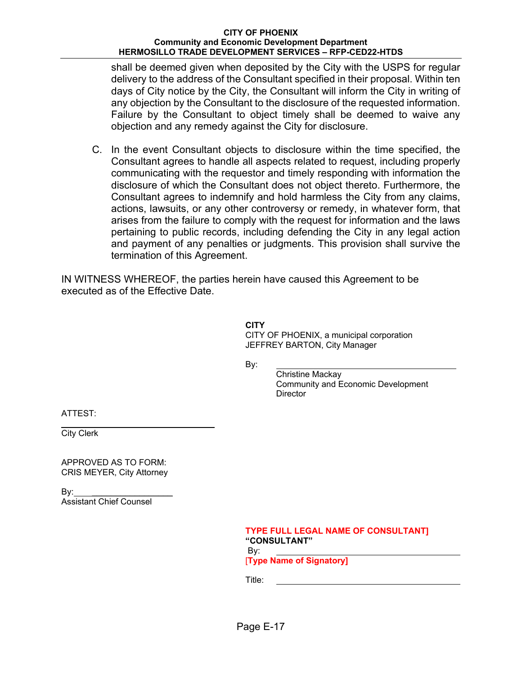shall be deemed given when deposited by the City with the USPS for regular delivery to the address of the Consultant specified in their proposal. Within ten days of City notice by the City, the Consultant will inform the City in writing of any objection by the Consultant to the disclosure of the requested information. Failure by the Consultant to object timely shall be deemed to waive any objection and any remedy against the City for disclosure.

C. In the event Consultant objects to disclosure within the time specified, the Consultant agrees to handle all aspects related to request, including properly communicating with the requestor and timely responding with information the disclosure of which the Consultant does not object thereto. Furthermore, the Consultant agrees to indemnify and hold harmless the City from any claims, actions, lawsuits, or any other controversy or remedy, in whatever form, that arises from the failure to comply with the request for information and the laws pertaining to public records, including defending the City in any legal action and payment of any penalties or judgments. This provision shall survive the termination of this Agreement.

IN WITNESS WHEREOF, the parties herein have caused this Agreement to be executed as of the Effective Date.

> **CITY**  CITY OF PHOENIX, a municipal corporation JEFFREY BARTON, City Manager

By:

Christine Mackay Community and Economic Development **Director** 

ATTEST:

 $\overline{a}$ City Clerk

APPROVED AS TO FORM: CRIS MEYER, City Attorney

 $\mathsf{By:}$ Assistant Chief Counsel

|     | <b>TYPE FULL LEGAL NAME OF CONSULTANT]</b> |
|-----|--------------------------------------------|
|     | <b>"CONSULTANT"</b>                        |
| By: |                                            |

[**Type Name of Signatory]** 

Title: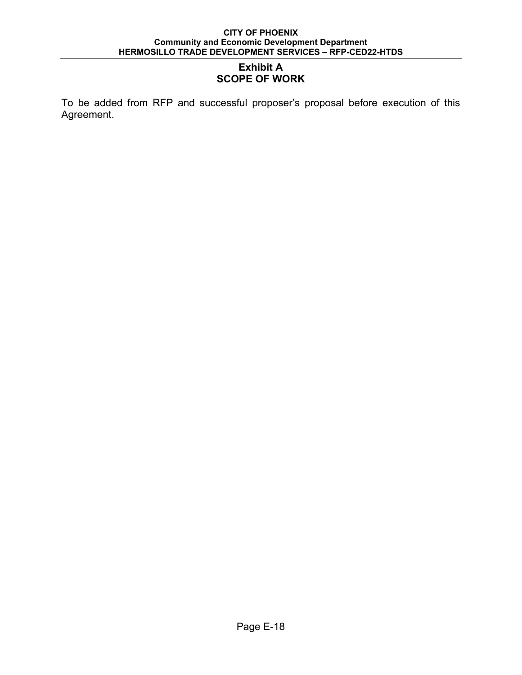## **Exhibit A SCOPE OF WORK**

To be added from RFP and successful proposer's proposal before execution of this Agreement.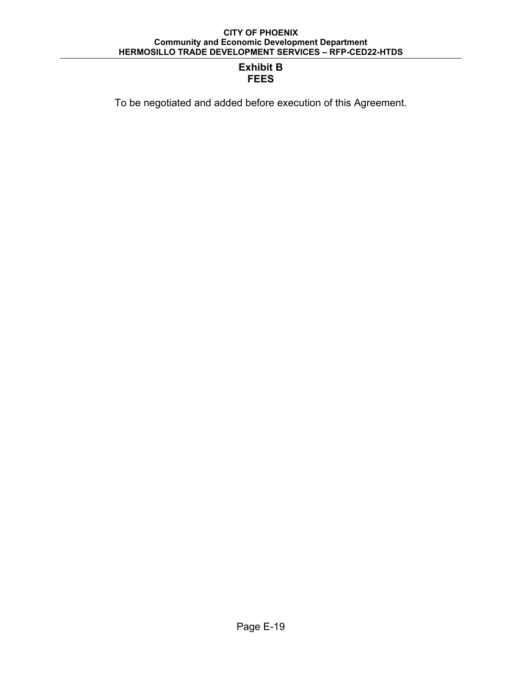## **Exhibit B FEES**

To be negotiated and added before execution of this Agreement.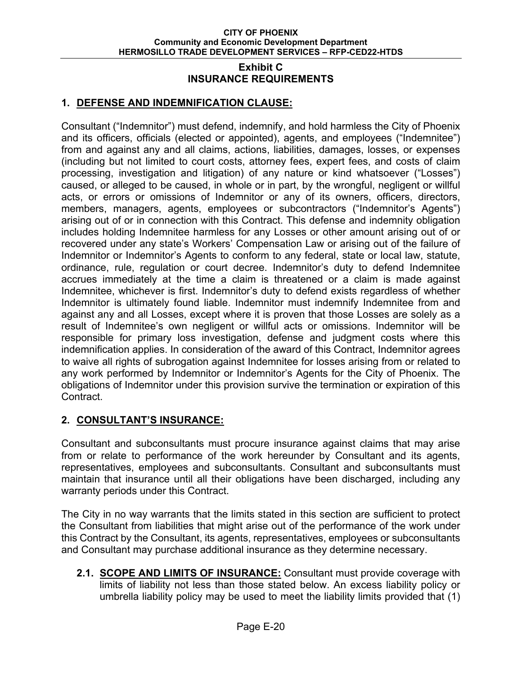### **Exhibit C INSURANCE REQUIREMENTS**

## **1. DEFENSE AND INDEMNIFICATION CLAUSE:**

Consultant ("Indemnitor") must defend, indemnify, and hold harmless the City of Phoenix and its officers, officials (elected or appointed), agents, and employees ("Indemnitee") from and against any and all claims, actions, liabilities, damages, losses, or expenses (including but not limited to court costs, attorney fees, expert fees, and costs of claim processing, investigation and litigation) of any nature or kind whatsoever ("Losses") caused, or alleged to be caused, in whole or in part, by the wrongful, negligent or willful acts, or errors or omissions of Indemnitor or any of its owners, officers, directors, members, managers, agents, employees or subcontractors ("Indemnitor's Agents") arising out of or in connection with this Contract. This defense and indemnity obligation includes holding Indemnitee harmless for any Losses or other amount arising out of or recovered under any state's Workers' Compensation Law or arising out of the failure of Indemnitor or Indemnitor's Agents to conform to any federal, state or local law, statute, ordinance, rule, regulation or court decree. Indemnitor's duty to defend Indemnitee accrues immediately at the time a claim is threatened or a claim is made against Indemnitee, whichever is first. Indemnitor's duty to defend exists regardless of whether Indemnitor is ultimately found liable. Indemnitor must indemnify Indemnitee from and against any and all Losses, except where it is proven that those Losses are solely as a result of Indemnitee's own negligent or willful acts or omissions. Indemnitor will be responsible for primary loss investigation, defense and judgment costs where this indemnification applies. In consideration of the award of this Contract, Indemnitor agrees to waive all rights of subrogation against Indemnitee for losses arising from or related to any work performed by Indemnitor or Indemnitor's Agents for the City of Phoenix. The obligations of Indemnitor under this provision survive the termination or expiration of this Contract.

## **2. CONSULTANT'S INSURANCE:**

Consultant and subconsultants must procure insurance against claims that may arise from or relate to performance of the work hereunder by Consultant and its agents, representatives, employees and subconsultants. Consultant and subconsultants must maintain that insurance until all their obligations have been discharged, including any warranty periods under this Contract.

The City in no way warrants that the limits stated in this section are sufficient to protect the Consultant from liabilities that might arise out of the performance of the work under this Contract by the Consultant, its agents, representatives, employees or subconsultants and Consultant may purchase additional insurance as they determine necessary.

**2.1. SCOPE AND LIMITS OF INSURANCE:** Consultant must provide coverage with limits of liability not less than those stated below. An excess liability policy or umbrella liability policy may be used to meet the liability limits provided that (1)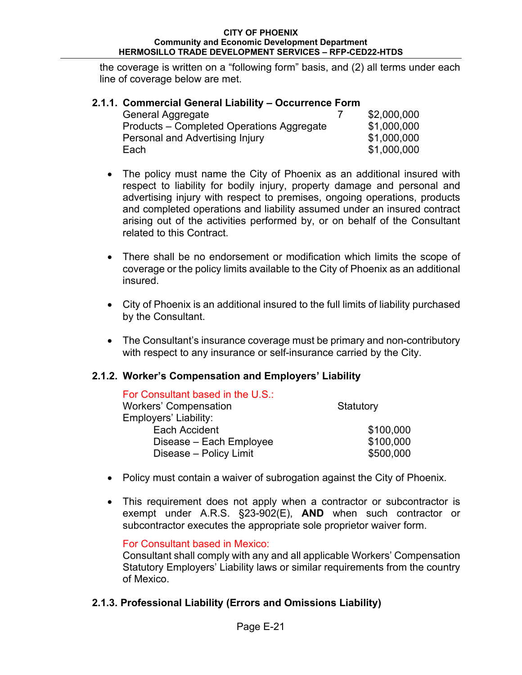the coverage is written on a "following form" basis, and (2) all terms under each line of coverage below are met.

| 2.1.1. Commercial General Liability – Occurrence Form |  |             |
|-------------------------------------------------------|--|-------------|
| <b>General Aggregate</b>                              |  | \$2,000,000 |
| Products – Completed Operations Aggregate             |  | \$1,000,000 |
| Personal and Advertising Injury                       |  | \$1,000,000 |
| Each                                                  |  | \$1,000,000 |

- The policy must name the City of Phoenix as an additional insured with respect to liability for bodily injury, property damage and personal and advertising injury with respect to premises, ongoing operations, products and completed operations and liability assumed under an insured contract arising out of the activities performed by, or on behalf of the Consultant related to this Contract.
- There shall be no endorsement or modification which limits the scope of coverage or the policy limits available to the City of Phoenix as an additional insured.
- City of Phoenix is an additional insured to the full limits of liability purchased by the Consultant.
- The Consultant's insurance coverage must be primary and non-contributory with respect to any insurance or self-insurance carried by the City.

## **2.1.2. Worker's Compensation and Employers' Liability**

| For Consultant based in the U.S.: |           |
|-----------------------------------|-----------|
| <b>Workers' Compensation</b>      | Statutory |
| Employers' Liability:             |           |
| Each Accident                     | \$100,000 |
| Disease - Each Employee           | \$100,000 |
| Disease - Policy Limit            | \$500,000 |

- Policy must contain a waiver of subrogation against the City of Phoenix.
- This requirement does not apply when a contractor or subcontractor is exempt under A.R.S. §23-902(E), **AND** when such contractor or subcontractor executes the appropriate sole proprietor waiver form.

For Consultant based in Mexico:

Consultant shall comply with any and all applicable Workers' Compensation Statutory Employers' Liability laws or similar requirements from the country of Mexico.

## **2.1.3. Professional Liability (Errors and Omissions Liability)**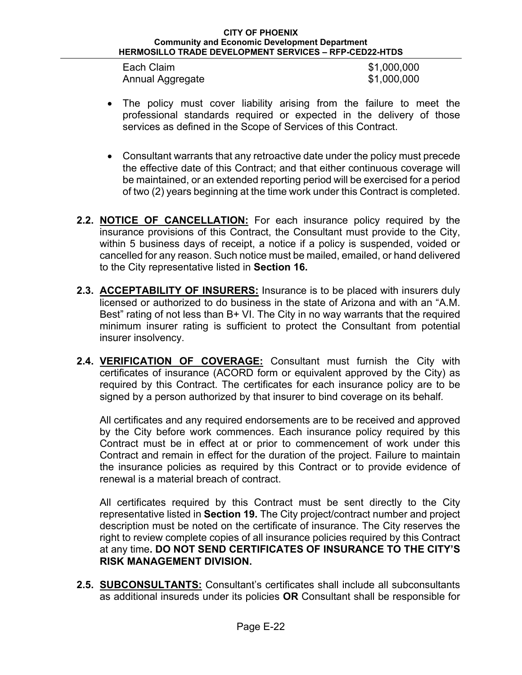| Each Claim       | \$1,000,000 |
|------------------|-------------|
| Annual Aggregate | \$1,000,000 |

- The policy must cover liability arising from the failure to meet the professional standards required or expected in the delivery of those services as defined in the Scope of Services of this Contract.
- Consultant warrants that any retroactive date under the policy must precede the effective date of this Contract; and that either continuous coverage will be maintained, or an extended reporting period will be exercised for a period of two (2) years beginning at the time work under this Contract is completed.
- **2.2. NOTICE OF CANCELLATION:** For each insurance policy required by the insurance provisions of this Contract, the Consultant must provide to the City, within 5 business days of receipt, a notice if a policy is suspended, voided or cancelled for any reason. Such notice must be mailed, emailed, or hand delivered to the City representative listed in **Section 16.**
- **2.3. ACCEPTABILITY OF INSURERS:** Insurance is to be placed with insurers duly licensed or authorized to do business in the state of Arizona and with an "A.M. Best" rating of not less than B+ VI. The City in no way warrants that the required minimum insurer rating is sufficient to protect the Consultant from potential insurer insolvency.
- **2.4. VERIFICATION OF COVERAGE:** Consultant must furnish the City with certificates of insurance (ACORD form or equivalent approved by the City) as required by this Contract. The certificates for each insurance policy are to be signed by a person authorized by that insurer to bind coverage on its behalf*.*

All certificates and any required endorsements are to be received and approved by the City before work commences. Each insurance policy required by this Contract must be in effect at or prior to commencement of work under this Contract and remain in effect for the duration of the project. Failure to maintain the insurance policies as required by this Contract or to provide evidence of renewal is a material breach of contract.

All certificates required by this Contract must be sent directly to the City representative listed in **Section 19.** The City project/contract number and project description must be noted on the certificate of insurance. The City reserves the right to review complete copies of all insurance policies required by this Contract at any time**. DO NOT SEND CERTIFICATES OF INSURANCE TO THE CITY'S RISK MANAGEMENT DIVISION.**

**2.5. SUBCONSULTANTS:** Consultant's certificates shall include all subconsultants as additional insureds under its policies **OR** Consultant shall be responsible for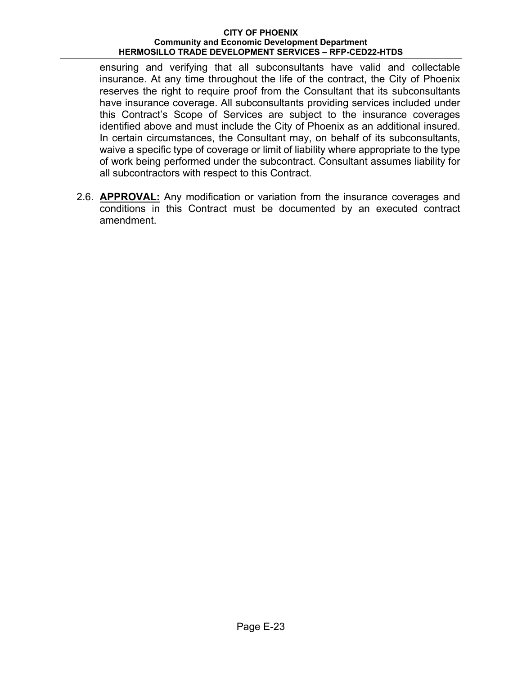ensuring and verifying that all subconsultants have valid and collectable insurance. At any time throughout the life of the contract, the City of Phoenix reserves the right to require proof from the Consultant that its subconsultants have insurance coverage. All subconsultants providing services included under this Contract's Scope of Services are subject to the insurance coverages identified above and must include the City of Phoenix as an additional insured. In certain circumstances, the Consultant may, on behalf of its subconsultants, waive a specific type of coverage or limit of liability where appropriate to the type of work being performed under the subcontract. Consultant assumes liability for all subcontractors with respect to this Contract.

2.6. **APPROVAL:** Any modification or variation from the insurance coverages and conditions in this Contract must be documented by an executed contract amendment.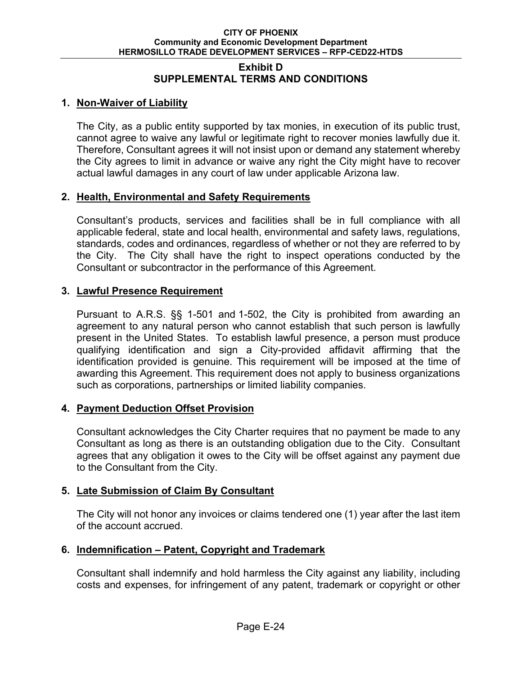### **Exhibit D SUPPLEMENTAL TERMS AND CONDITIONS**

## **1. Non-Waiver of Liability**

The City, as a public entity supported by tax monies, in execution of its public trust, cannot agree to waive any lawful or legitimate right to recover monies lawfully due it. Therefore, Consultant agrees it will not insist upon or demand any statement whereby the City agrees to limit in advance or waive any right the City might have to recover actual lawful damages in any court of law under applicable Arizona law.

## **2. Health, Environmental and Safety Requirements**

Consultant's products, services and facilities shall be in full compliance with all applicable federal, state and local health, environmental and safety laws, regulations, standards, codes and ordinances, regardless of whether or not they are referred to by the City. The City shall have the right to inspect operations conducted by the Consultant or subcontractor in the performance of this Agreement.

## **3. Lawful Presence Requirement**

Pursuant to A.R.S. §§ 1-501 and 1-502, the City is prohibited from awarding an agreement to any natural person who cannot establish that such person is lawfully present in the United States. To establish lawful presence, a person must produce qualifying identification and sign a City-provided affidavit affirming that the identification provided is genuine. This requirement will be imposed at the time of awarding this Agreement. This requirement does not apply to business organizations such as corporations, partnerships or limited liability companies.

## **4. Payment Deduction Offset Provision**

Consultant acknowledges the City Charter requires that no payment be made to any Consultant as long as there is an outstanding obligation due to the City. Consultant agrees that any obligation it owes to the City will be offset against any payment due to the Consultant from the City.

## **5. Late Submission of Claim By Consultant**

The City will not honor any invoices or claims tendered one (1) year after the last item of the account accrued.

## **6. Indemnification – Patent, Copyright and Trademark**

Consultant shall indemnify and hold harmless the City against any liability, including costs and expenses, for infringement of any patent, trademark or copyright or other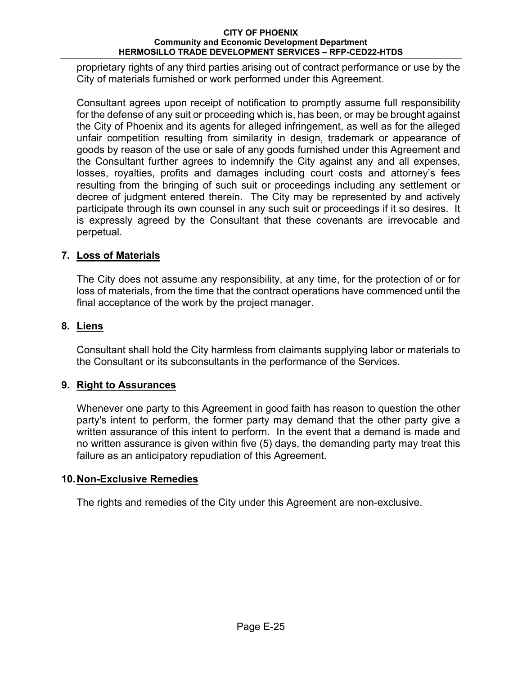proprietary rights of any third parties arising out of contract performance or use by the City of materials furnished or work performed under this Agreement.

Consultant agrees upon receipt of notification to promptly assume full responsibility for the defense of any suit or proceeding which is, has been, or may be brought against the City of Phoenix and its agents for alleged infringement, as well as for the alleged unfair competition resulting from similarity in design, trademark or appearance of goods by reason of the use or sale of any goods furnished under this Agreement and the Consultant further agrees to indemnify the City against any and all expenses, losses, royalties, profits and damages including court costs and attorney's fees resulting from the bringing of such suit or proceedings including any settlement or decree of judgment entered therein. The City may be represented by and actively participate through its own counsel in any such suit or proceedings if it so desires. It is expressly agreed by the Consultant that these covenants are irrevocable and perpetual.

## **7. Loss of Materials**

The City does not assume any responsibility, at any time, for the protection of or for loss of materials, from the time that the contract operations have commenced until the final acceptance of the work by the project manager.

## **8. Liens**

Consultant shall hold the City harmless from claimants supplying labor or materials to the Consultant or its subconsultants in the performance of the Services.

## **9. Right to Assurances**

Whenever one party to this Agreement in good faith has reason to question the other party's intent to perform, the former party may demand that the other party give a written assurance of this intent to perform. In the event that a demand is made and no written assurance is given within five (5) days, the demanding party may treat this failure as an anticipatory repudiation of this Agreement.

## **10. Non-Exclusive Remedies**

The rights and remedies of the City under this Agreement are non-exclusive.